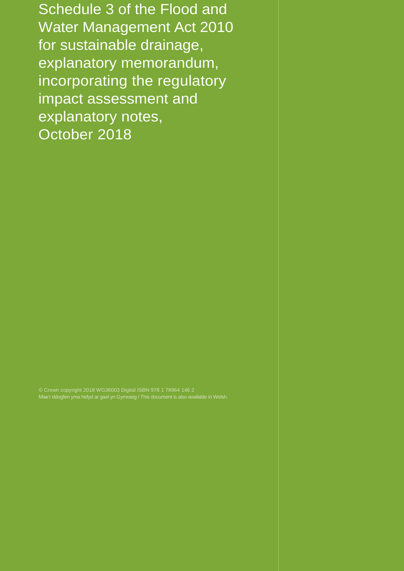Schedule 3 of the Flood and Water Management Act 2010 for sustainable drainage, explanatory memorandum, incorporating the regulatory impact assessment and explanatory notes, October 2018

© Crown copyright 2018 WG36003 Digital ISBN 978 1 78964 146 2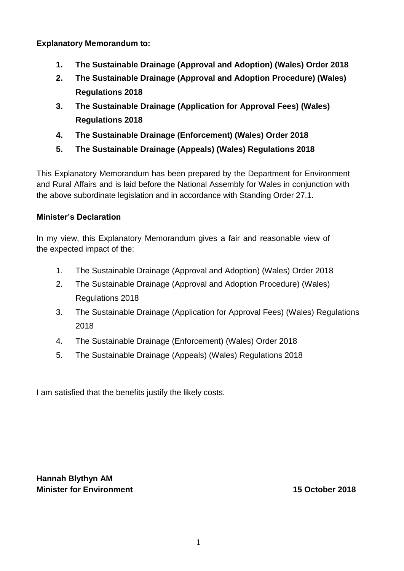**Explanatory Memorandum to:**

- **1. The Sustainable Drainage (Approval and Adoption) (Wales) Order 2018**
- **2. The Sustainable Drainage (Approval and Adoption Procedure) (Wales) Regulations 2018**
- **3. The Sustainable Drainage (Application for Approval Fees) (Wales) Regulations 2018**
- **4. The Sustainable Drainage (Enforcement) (Wales) Order 2018**
- **5. The Sustainable Drainage (Appeals) (Wales) Regulations 2018**

This Explanatory Memorandum has been prepared by the Department for Environment and Rural Affairs and is laid before the National Assembly for Wales in conjunction with the above subordinate legislation and in accordance with Standing Order 27.1.

# **Minister's Declaration**

In my view, this Explanatory Memorandum gives a fair and reasonable view of the expected impact of the:

- 1. The Sustainable Drainage (Approval and Adoption) (Wales) Order 2018
- 2. The Sustainable Drainage (Approval and Adoption Procedure) (Wales) Regulations 2018
- 3. The Sustainable Drainage (Application for Approval Fees) (Wales) Regulations 2018
- 4. The Sustainable Drainage (Enforcement) (Wales) Order 2018
- 5. The Sustainable Drainage (Appeals) (Wales) Regulations 2018

I am satisfied that the benefits justify the likely costs.

**Hannah Blythyn AM Minister for Environment 15 October 2018**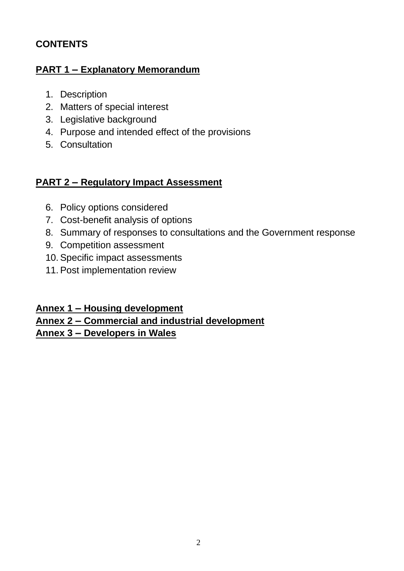# **CONTENTS**

# **PART 1 – Explanatory Memorandum**

- 1. Description
- 2. Matters of special interest
- 3. Legislative background
- 4. Purpose and intended effect of the provisions
- 5. Consultation

# **PART 2 – Regulatory Impact Assessment**

- 6. Policy options considered
- 7. Cost-benefit analysis of options
- 8. Summary of responses to consultations and the Government response
- 9. Competition assessment
- 10.Specific impact assessments
- 11.Post implementation review

# **Annex 1 – Housing development**

# **Annex 2 – Commercial and industrial development**

**Annex 3 – Developers in Wales**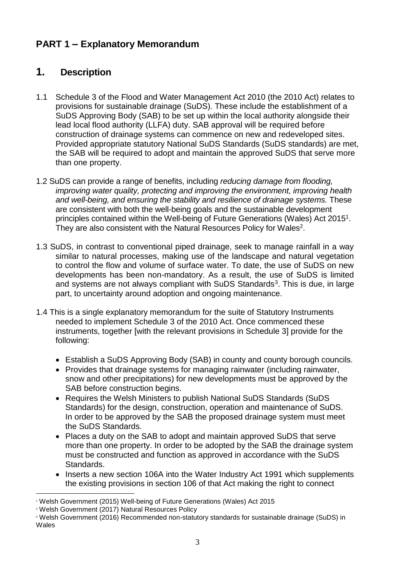# **PART 1 – Explanatory Memorandum**

# **1. Description**

- 1.1 Schedule 3 of the Flood and Water Management Act 2010 (the 2010 Act) relates to provisions for sustainable drainage (SuDS). These include the establishment of a SuDS Approving Body (SAB) to be set up within the local authority alongside their lead local flood authority (LLFA) duty. SAB approval will be required before construction of drainage systems can commence on new and redeveloped sites. Provided appropriate statutory National SuDS Standards (SuDS standards) are met, the SAB will be required to adopt and maintain the approved SuDS that serve more than one property.
- 1.2 SuDS can provide a range of benefits, including *reducing damage from flooding, improving water quality, protecting and improving the environment, improving health*  and well-being, and ensuring the stability and resilience of drainage systems. These are consistent with both the well-being goals and the sustainable development principles contained within the Well-being of Future Generations (Wales) Act 2015<sup>1</sup>. They are also consistent with the Natural Resources Policy for Wales<sup>2</sup>.
- 1.3 SuDS, in contrast to conventional piped drainage, seek to manage rainfall in a way similar to natural processes, making use of the landscape and natural vegetation to control the flow and volume of surface water. To date, the use of SuDS on new developments has been non-mandatory. As a result, the use of SuDS is limited and systems are not always compliant with SuDS Standards<sup>3</sup>. This is due, in large part, to uncertainty around adoption and ongoing maintenance.
- 1.4 This is a single explanatory memorandum for the suite of Statutory Instruments needed to implement Schedule 3 of the 2010 Act. Once commenced these instruments, together [with the relevant provisions in Schedule 3] provide for the following:
	- Establish a SuDS Approving Body (SAB) in county and county borough councils.
	- Provides that drainage systems for managing rainwater (including rainwater, snow and other precipitations) for new developments must be approved by the SAB before construction begins.
	- Requires the Welsh Ministers to publish National SuDS Standards (SuDS Standards) for the design, construction, operation and maintenance of SuDS. In order to be approved by the SAB the proposed drainage system must meet the SuDS Standards.
	- Places a duty on the SAB to adopt and maintain approved SuDS that serve more than one property. In order to be adopted by the SAB the drainage system must be constructed and function as approved in accordance with the SuDS Standards.
	- Inserts a new section 106A into the Water Industry Act 1991 which supplements the existing provisions in section 106 of that Act making the right to connect

<sup>1</sup> Welsh Government (2015) Well-being of Future Generations (Wales) Act 2015

<sup>2</sup> Welsh Government (2017) Natural Resources Policy

<sup>3</sup> Welsh Government (2016) Recommended non-statutory standards for sustainable drainage (SuDS) in **Wales**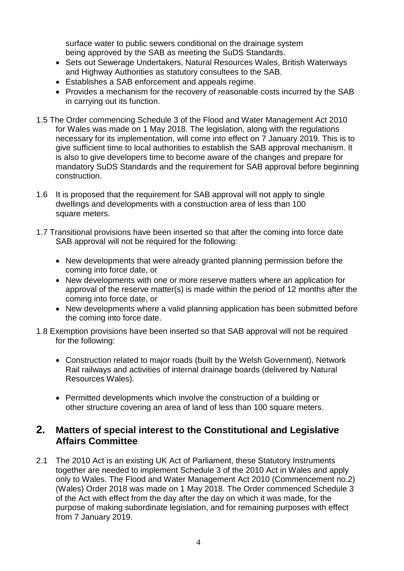surface water to public sewers conditional on the drainage system being approved by the SAB as meeting the SuDS Standards.

- Sets out Sewerage Undertakers, Natural Resources Wales, British Waterways and Highway Authorities as statutory consultees to the SAB.
- Establishes a SAB enforcement and appeals regime.
- Provides a mechanism for the recovery of reasonable costs incurred by the SAB in carrying out its function.
- 1.5 The Order commencing Schedule 3 of the Flood and Water Management Act 2010 for Wales was made on 1 May 2018. The legislation, along with the regulations necessary for its implementation, will come into effect on 7 January 2019. This is to give sufficient time to local authorities to establish the SAB approval mechanism. It is also to give developers time to become aware of the changes and prepare for mandatory SuDS Standards and the requirement for SAB approval before beginning construction.
- 1.6 It is proposed that the requirement for SAB approval will not apply to single dwellings and developments with a construction area of less than 100 square meters.
- 1.7 Transitional provisions have been inserted so that after the coming into force date SAB approval will not be required for the following:
	- New developments that were already granted planning permission before the coming into force date, or
	- New developments with one or more reserve matters where an application for approval of the reserve matter(s) is made within the period of 12 months after the coming into force date, or
	- New developments where a valid planning application has been submitted before the coming into force date.
- 1.8 Exemption provisions have been inserted so that SAB approval will not be required for the following:
	- Construction related to major roads (built by the Welsh Government), Network Rail railways and activities of internal drainage boards (delivered by Natural Resources Wales).
	- Permitted developments which involve the construction of a building or other structure covering an area of land of less than 100 square meters.

# **2. Matters of special interest to the Constitutional and Legislative Affairs Committee**

2.1 The 2010 Act is an existing UK Act of Parliament, these Statutory Instruments together are needed to implement Schedule 3 of the 2010 Act in Wales and apply only to Wales. The Flood and Water Management Act 2010 (Commencement no.2) (Wales) Order 2018 was made on 1 May 2018. The Order commenced Schedule 3 of the Act with effect from the day after the day on which it was made, for the purpose of making subordinate legislation, and for remaining purposes with effect from 7 January 2019.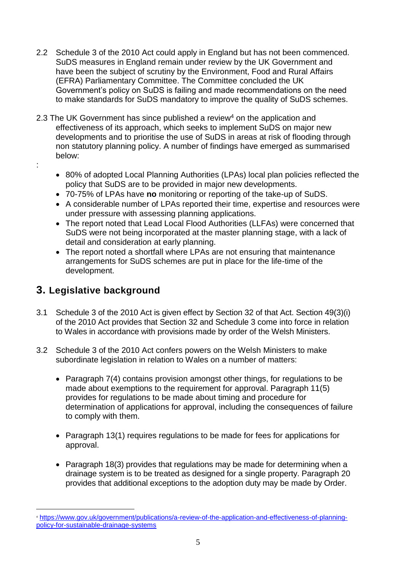- 2.2 Schedule 3 of the 2010 Act could apply in England but has not been commenced. SuDS measures in England remain under review by the UK Government and have been the subject of scrutiny by the Environment, Food and Rural Affairs (EFRA) Parliamentary Committee. The Committee concluded the UK Government's policy on SuDS is failing and made recommendations on the need to make standards for SuDS mandatory to improve the quality of SuDS schemes.
- 2.3 The UK Government has since published a review<sup>4</sup> on the application and effectiveness of its approach, which seeks to implement SuDS on major new developments and to prioritise the use of SuDS in areas at risk of flooding through non statutory planning policy. A number of findings have emerged as summarised below:
- :
- 80% of adopted Local Planning Authorities (LPAs) local plan policies reflected the policy that SuDS are to be provided in major new developments.
- 70-75% of LPAs have **no** monitoring or reporting of the take-up of SuDS.
- A considerable number of LPAs reported their time, expertise and resources were under pressure with assessing planning applications.
- The report noted that Lead Local Flood Authorities (LLFAs) were concerned that SuDS were not being incorporated at the master planning stage, with a lack of detail and consideration at early planning.
- The report noted a shortfall where LPAs are not ensuring that maintenance arrangements for SuDS schemes are put in place for the life-time of the development.

# **3. Legislative background**

- 3.1 Schedule 3 of the 2010 Act is given effect by Section 32 of that Act. Section 49(3)(i) of the 2010 Act provides that Section 32 and Schedule 3 come into force in relation to Wales in accordance with provisions made by order of the Welsh Ministers.
- 3.2 Schedule 3 of the 2010 Act confers powers on the Welsh Ministers to make subordinate legislation in relation to Wales on a number of matters:
	- Paragraph 7(4) contains provision amongst other things, for regulations to be made about exemptions to the requirement for approval. Paragraph 11(5) provides for regulations to be made about timing and procedure for determination of applications for approval, including the consequences of failure to comply with them.
	- Paragraph 13(1) requires regulations to be made for fees for applications for approval.
	- Paragraph 18(3) provides that regulations may be made for determining when a drainage system is to be treated as designed for a single property. Paragraph 20 provides that additional exceptions to the adoption duty may be made by Order.

<sup>4</sup> [https://www.gov.uk/government/publications/a-review-of-the-application-and-effectiveness-of-planning](https://www.gov.uk/government/publications/a-review-of-the-application-and-effectiveness-of-planning-policy-for-sustainable-drainage-systems)[policy-for-sustainable-drainage-systems](https://www.gov.uk/government/publications/a-review-of-the-application-and-effectiveness-of-planning-policy-for-sustainable-drainage-systems)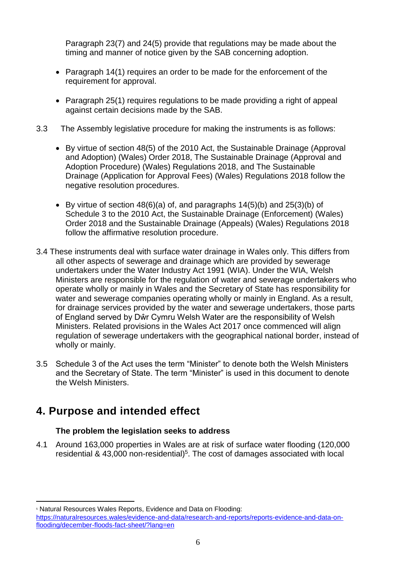Paragraph 23(7) and 24(5) provide that regulations may be made about the timing and manner of notice given by the SAB concerning adoption.

- Paragraph 14(1) requires an order to be made for the enforcement of the requirement for approval.
- Paragraph 25(1) requires regulations to be made providing a right of appeal against certain decisions made by the SAB.
- 3.3 The Assembly legislative procedure for making the instruments is as follows:
	- By virtue of section 48(5) of the 2010 Act, the Sustainable Drainage (Approval and Adoption) (Wales) Order 2018, The Sustainable Drainage (Approval and Adoption Procedure) (Wales) Regulations 2018, and The Sustainable Drainage (Application for Approval Fees) (Wales) Regulations 2018 follow the negative resolution procedures.
	- By virtue of section 48(6)(a) of, and paragraphs 14(5)(b) and 25(3)(b) of Schedule 3 to the 2010 Act, the Sustainable Drainage (Enforcement) (Wales) Order 2018 and the Sustainable Drainage (Appeals) (Wales) Regulations 2018 follow the affirmative resolution procedure.
- 3.4 These instruments deal with surface water drainage in Wales only. This differs from all other aspects of sewerage and drainage which are provided by sewerage undertakers under the Water Industry Act 1991 (WIA). Under the WIA, Welsh Ministers are responsible for the regulation of water and sewerage undertakers who operate wholly or mainly in Wales and the Secretary of State has responsibility for water and sewerage companies operating wholly or mainly in England. As a result, for drainage services provided by the water and sewerage undertakers, those parts of England served by Dŵr Cymru Welsh Water are the responsibility of Welsh Ministers. Related provisions in the Wales Act 2017 once commenced will align regulation of sewerage undertakers with the geographical national border, instead of wholly or mainly.
- 3.5 Schedule 3 of the Act uses the term "Minister" to denote both the Welsh Ministers and the Secretary of State. The term "Minister" is used in this document to denote the Welsh Ministers.

# **4. Purpose and intended effect**

# **The problem the legislation seeks to address**

4.1 Around 163,000 properties in Wales are at risk of surface water flooding (120,000 residential & 43,000 non-residential)<sup>5</sup>. The cost of damages associated with local

**Natural Resources Wales Reports, Evidence and Data on Flooding:** 

[https://naturalresources.wales/evidence-and-data/research-and-reports/reports-evidence-and-data-on](https://naturalresources.wales/evidence-and-data/research-and-reports/reports-evidence-and-data-on-flooding/december-floods-fact-sheet/?lang=en)[flooding/december-floods-fact-sheet/?lang=en](https://naturalresources.wales/evidence-and-data/research-and-reports/reports-evidence-and-data-on-flooding/december-floods-fact-sheet/?lang=en)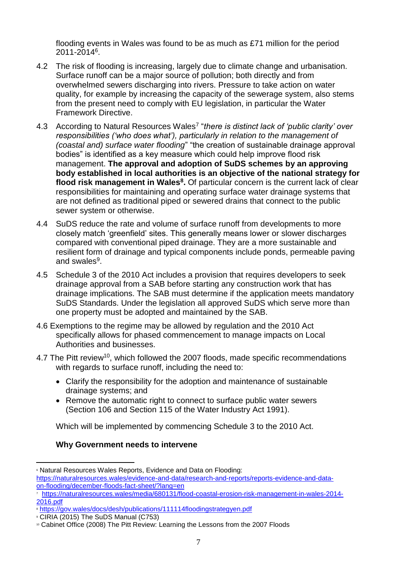flooding events in Wales was found to be as much as £71 million for the period 2011-2014<sup>6</sup> .

- 4.2 The risk of flooding is increasing, largely due to climate change and urbanisation. Surface runoff can be a major source of pollution; both directly and from overwhelmed sewers discharging into rivers. Pressure to take action on water quality, for example by increasing the capacity of the sewerage system, also stems from the present need to comply with EU legislation, in particular the Water Framework Directive.
- 4.3 According to Natural Resources Wales<sup>7</sup> "there is distinct lack of 'public clarity' over *responsibilities ('who does what'), particularly in relation to the management of (coastal and) surface water flooding*" "the creation of sustainable drainage approval bodies" is identified as a key measure which could help improve flood risk management. **The approval and adoption of SuDS schemes by an approving body established in local authorities is an objective of the national strategy for flood risk management in Wales<sup>8</sup> .** Of particular concern is the current lack of clear responsibilities for maintaining and operating surface water drainage systems that are not defined as traditional piped or sewered drains that connect to the public sewer system or otherwise.
- 4.4 SuDS reduce the rate and volume of surface runoff from developments to more closely match 'greenfield' sites. This generally means lower or slower discharges compared with conventional piped drainage. They are a more sustainable and resilient form of drainage and typical components include ponds, permeable paving and swales<sup>9</sup>.
- 4.5 Schedule 3 of the 2010 Act includes a provision that requires developers to seek drainage approval from a SAB before starting any construction work that has drainage implications. The SAB must determine if the application meets mandatory SuDS Standards. Under the legislation all approved SuDS which serve more than one property must be adopted and maintained by the SAB.
- 4.6 Exemptions to the regime may be allowed by regulation and the 2010 Act specifically allows for phased commencement to manage impacts on Local Authorities and businesses.
- 4.7 The Pitt review<sup>10</sup>, which followed the 2007 floods, made specific recommendations with regards to surface runoff, including the need to:
	- Clarify the responsibility for the adoption and maintenance of sustainable drainage systems; and
	- Remove the automatic right to connect to surface public water sewers (Section 106 and Section 115 of the Water Industry Act 1991).

Which will be implemented by commencing Schedule 3 to the 2010 Act.

# **Why Government needs to intervene**

**<sup>6</sup> Natural Resources Wales Reports, Evidence and Data on Flooding:** [https://naturalresources.wales/evidence-and-data/research-and-reports/reports-evidence-and-data](https://naturalresources.wales/evidence-and-data/research-and-reports/reports-evidence-and-data-on-flooding/december-floods-fact-sheet/?lang=en)[on-flooding/december-floods-fact-sheet/?lang=en](https://naturalresources.wales/evidence-and-data/research-and-reports/reports-evidence-and-data-on-flooding/december-floods-fact-sheet/?lang=en)

<sup>7</sup> [https://naturalresources.wales/media/680131/flood-coastal-erosion-risk-management-in-wales-2014-](https://naturalresources.wales/media/680131/flood-coastal-erosion-risk-management-in-wales-2014-2016.pdf) [2016.pdf](https://naturalresources.wales/media/680131/flood-coastal-erosion-risk-management-in-wales-2014-2016.pdf)

<sup>&</sup>lt;sup>8</sup> <https://gov.wales/docs/desh/publications/111114floodingstrategyen.pdf>

<sup>9</sup> CIRIA (2015) The SuDS Manual (C753)

<sup>&</sup>lt;sup>10</sup> Cabinet Office (2008) The Pitt Review: Learning the Lessons from the 2007 Floods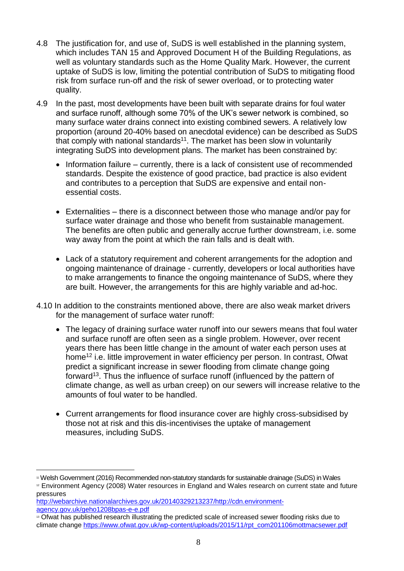- 4.8 The justification for, and use of, SuDS is well established in the planning system, which includes TAN 15 and Approved Document H of the Building Regulations, as well as voluntary standards such as the Home Quality Mark. However, the current uptake of SuDS is low, limiting the potential contribution of SuDS to mitigating flood risk from surface run-off and the risk of sewer overload, or to protecting water quality.
- 4.9 In the past, most developments have been built with separate drains for foul water and surface runoff, although some 70% of the UK's sewer network is combined, so many surface water drains connect into existing combined sewers. A relatively low proportion (around 20-40% based on anecdotal evidence) can be described as SuDS that comply with national standards<sup>11</sup>. The market has been slow in voluntarily integrating SuDS into development plans. The market has been constrained by:
	- Information failure currently, there is a lack of consistent use of recommended standards. Despite the existence of good practice, bad practice is also evident and contributes to a perception that SuDS are expensive and entail nonessential costs.
	- Externalities there is a disconnect between those who manage and/or pay for surface water drainage and those who benefit from sustainable management. The benefits are often public and generally accrue further downstream, i.e. some way away from the point at which the rain falls and is dealt with.
	- Lack of a statutory requirement and coherent arrangements for the adoption and ongoing maintenance of drainage - currently, developers or local authorities have to make arrangements to finance the ongoing maintenance of SuDS, where they are built. However, the arrangements for this are highly variable and ad-hoc.
- 4.10 In addition to the constraints mentioned above, there are also weak market drivers for the management of surface water runoff:
	- The legacy of draining surface water runoff into our sewers means that foul water and surface runoff are often seen as a single problem. However, over recent years there has been little change in the amount of water each person uses at home<sup>12</sup> i.e. little improvement in water efficiency per person. In contrast, Ofwat predict a significant increase in sewer flooding from climate change going forward<sup>13</sup>. Thus the influence of surface runoff (influenced by the pattern of climate change, as well as urban creep) on our sewers will increase relative to the amounts of foul water to be handled.
	- Current arrangements for flood insurance cover are highly cross-subsidised by those not at risk and this dis-incentivises the uptake of management measures, including SuDS.

<sup>11</sup> Welsh Government (2016) Recommended non-statutory standards for sustainable drainage (SuDS) in Wales

<sup>12</sup> Environment Agency (2008) Water resources in England and Wales research on current state and future pressures

[http://webarchive.nationalarchives.gov.uk/20140329213237/http://cdn.environment](http://webarchive.nationalarchives.gov.uk/20140329213237/http:/cdn.environment-agency.gov.uk/geho1208bpas-e-e.pdf)[agency.gov.uk/geho1208bpas-e-e.pdf](http://webarchive.nationalarchives.gov.uk/20140329213237/http:/cdn.environment-agency.gov.uk/geho1208bpas-e-e.pdf)

<sup>&</sup>lt;sup>13</sup> Ofwat has published research illustrating the predicted scale of increased sewer flooding risks due to climate change [https://www.ofwat.gov.uk/wp-content/uploads/2015/11/rpt\\_com201106mottmacsewer.pdf](https://www.ofwat.gov.uk/wp-content/uploads/2015/11/rpt_com201106mottmacsewer.pdf)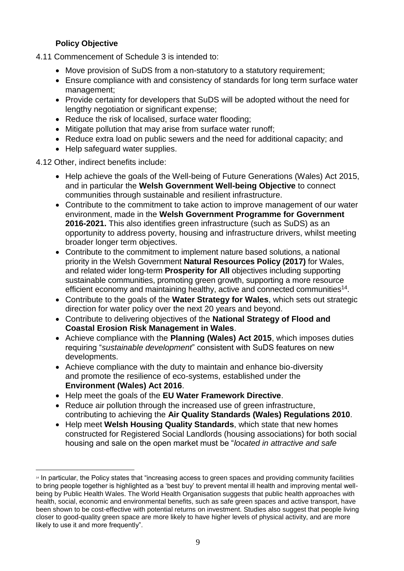# **Policy Objective**

- 4.11 Commencement of Schedule 3 is intended to:
	- Move provision of SuDS from a non-statutory to a statutory requirement;
	- Ensure compliance with and consistency of standards for long term surface water management;
	- Provide certainty for developers that SuDS will be adopted without the need for lengthy negotiation or significant expense;
	- Reduce the risk of localised, surface water flooding;
	- Mitigate pollution that may arise from surface water runoff;
	- Reduce extra load on public sewers and the need for additional capacity; and
	- Help safeguard water supplies.

4.12 Other, indirect benefits include:

- Help achieve the goals of the Well-being of Future Generations (Wales) Act 2015, and in particular the **Welsh Government Well-being Objective** to connect communities through sustainable and resilient infrastructure.
- Contribute to the commitment to take action to improve management of our water environment, made in the **Welsh Government Programme for Government 2016-2021.** This also identifies green infrastructure (such as SuDS) as an opportunity to address poverty, housing and infrastructure drivers, whilst meeting broader longer term objectives.
- Contribute to the commitment to implement nature based solutions, a national priority in the Welsh Government **Natural Resources Policy (2017)** for Wales, and related wider long-term **Prosperity for All** objectives including supporting sustainable communities, promoting green growth, supporting a more resource efficient economy and maintaining healthy, active and connected communities<sup>14</sup>.
- Contribute to the goals of the **Water Strategy for Wales**, which sets out strategic direction for water policy over the next 20 years and beyond.
- Contribute to delivering objectives of the **National Strategy of Flood and Coastal Erosion Risk Management in Wales**.
- Achieve compliance with the **Planning (Wales) Act 2015**, which imposes duties requiring "*sustainable development*" consistent with SuDS features on new developments.
- Achieve compliance with the duty to maintain and enhance bio-diversity and promote the resilience of eco-systems, established under the **Environment (Wales) Act 2016**.
- Help meet the goals of the **EU Water Framework Directive**.
- Reduce air pollution through the increased use of green infrastructure. contributing to achieving the **Air Quality Standards (Wales) Regulations 2010**.
- Help meet **Welsh Housing Quality Standards**, which state that new homes constructed for Registered Social Landlords (housing associations) for both social housing and sale on the open market must be "*located in attractive and safe*

<sup>&</sup>lt;sup>14</sup> In particular, the Policy states that "increasing access to green spaces and providing community facilities to bring people together is highlighted as a 'best buy' to prevent mental ill health and improving mental wellbeing by Public Health Wales. The World Health Organisation suggests that public health approaches with health, social, economic and environmental benefits, such as safe green spaces and active transport, have been shown to be cost-effective with potential returns on investment. Studies also suggest that people living closer to good-quality green space are more likely to have higher levels of physical activity, and are more likely to use it and more frequently".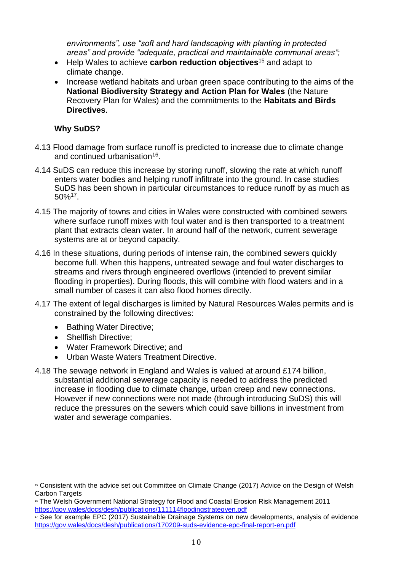*environments", use "soft and hard landscaping with planting in protected areas" and provide "adequate, practical and maintainable communal areas";*

- Help Wales to achieve **carbon reduction objectives**<sup>15</sup> and adapt to climate change.
- Increase wetland habitats and urban green space contributing to the aims of the **National Biodiversity Strategy and Action Plan for Wales** (the Nature Recovery Plan for Wales) and the commitments to the **Habitats and Birds Directives**.

#### **Why SuDS?**

- 4.13 Flood damage from surface runoff is predicted to increase due to climate change and continued urbanisation<sup>16</sup>.
- 4.14 SuDS can reduce this increase by storing runoff, slowing the rate at which runoff enters water bodies and helping runoff infiltrate into the ground. In case studies SuDS has been shown in particular circumstances to reduce runoff by as much as  $50\%$ <sup>17</sup>.
- 4.15 The majority of towns and cities in Wales were constructed with combined sewers where surface runoff mixes with foul water and is then transported to a treatment plant that extracts clean water. In around half of the network, current sewerage systems are at or beyond capacity.
- 4.16 In these situations, during periods of intense rain, the combined sewers quickly become full. When this happens, untreated sewage and foul water discharges to streams and rivers through engineered overflows (intended to prevent similar flooding in properties). During floods, this will combine with flood waters and in a small number of cases it can also flood homes directly.
- 4.17 The extent of legal discharges is limited by Natural Resources Wales permits and is constrained by the following directives:
	- Bathing Water Directive:
	- Shellfish Directive:
	- Water Framework Directive; and
	- Urban Waste Waters Treatment Directive.
- 4.18 The sewage network in England and Wales is valued at around £174 billion, substantial additional sewerage capacity is needed to address the predicted increase in flooding due to climate change, urban creep and new connections. However if new connections were not made (through introducing SuDS) this will reduce the pressures on the sewers which could save billions in investment from water and sewerage companies.

<sup>&</sup>lt;sup>15</sup> Consistent with the advice set out Committee on Climate Change (2017) Advice on the Design of Welsh Carbon Targets

<sup>16</sup> The Welsh Government National Strategy for Flood and Coastal Erosion Risk Management 2011 <https://gov.wales/docs/desh/publications/111114floodingstrategyen.pdf>

 $\overline{17}$  See for example EPC (2017) Sustainable Drainage Systems on new developments, analysis of evidence <https://gov.wales/docs/desh/publications/170209-suds-evidence-epc-final-report-en.pdf>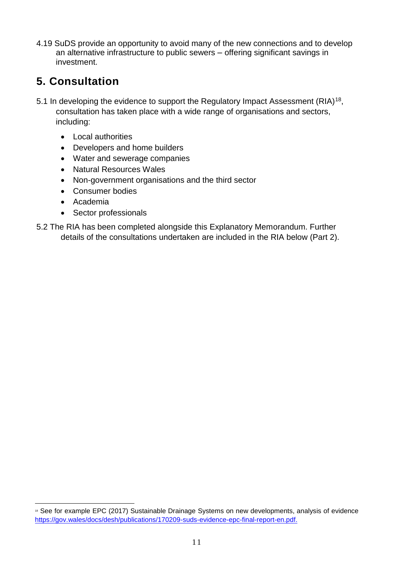4.19 SuDS provide an opportunity to avoid many of the new connections and to develop an alternative infrastructure to public sewers – offering significant savings in investment.

# **5. Consultation**

- 5.1 In developing the evidence to support the Regulatory Impact Assessment (RIA)<sup>18</sup>, consultation has taken place with a wide range of organisations and sectors, including:
	- Local authorities
	- Developers and home builders
	- Water and sewerage companies
	- Natural Resources Wales
	- Non-government organisations and the third sector
	- Consumer bodies
	- Academia
	- Sector professionals
- 5.2 The RIA has been completed alongside this Explanatory Memorandum. Further details of the consultations undertaken are included in the RIA below (Part 2).

<sup>&</sup>lt;sup>18</sup> See for example EPC (2017) Sustainable Drainage Systems on new developments, analysis of evidence <https://gov.wales/docs/desh/publications/170209-suds-evidence-epc-final-report-en.pdf.>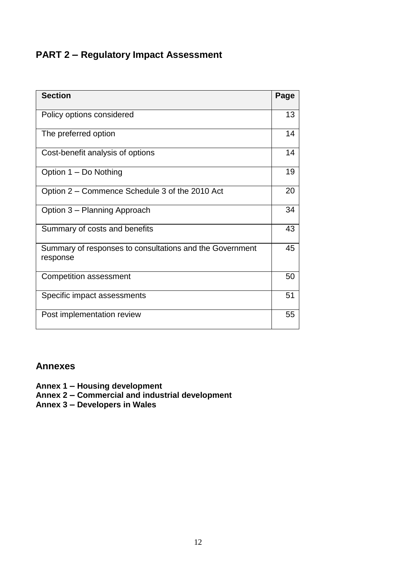# **PART 2 – Regulatory Impact Assessment**

| <b>Section</b>                                                       | Page |
|----------------------------------------------------------------------|------|
| Policy options considered                                            | 13   |
| The preferred option                                                 | 14   |
| Cost-benefit analysis of options                                     | 14   |
| Option 1 – Do Nothing                                                | 19   |
| Option 2 – Commence Schedule 3 of the 2010 Act                       | 20   |
| Option 3 - Planning Approach                                         | 34   |
| Summary of costs and benefits                                        | 43   |
| Summary of responses to consultations and the Government<br>response | 45   |
| <b>Competition assessment</b>                                        | 50   |
| Specific impact assessments                                          | 51   |
| Post implementation review                                           | 55   |

# **Annexes**

**Annex 1 – Housing development**

**Annex 2 – Commercial and industrial development**

**Annex 3 – Developers in Wales**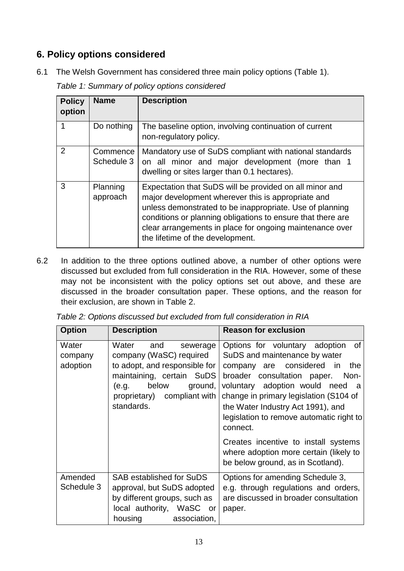# **6. Policy options considered**

6.1 The Welsh Government has considered three main policy options (Table 1).

*Table 1: Summary of policy options considered*

| <b>Policy</b><br>option | <b>Name</b>            | <b>Description</b>                                                                                                                                                                                                                                                                                                                       |
|-------------------------|------------------------|------------------------------------------------------------------------------------------------------------------------------------------------------------------------------------------------------------------------------------------------------------------------------------------------------------------------------------------|
|                         | Do nothing             | The baseline option, involving continuation of current<br>non-regulatory policy.                                                                                                                                                                                                                                                         |
| 2                       | Commence<br>Schedule 3 | Mandatory use of SuDS compliant with national standards<br>on all minor and major development (more than 1<br>dwelling or sites larger than 0.1 hectares).                                                                                                                                                                               |
| 3                       | Planning<br>approach   | Expectation that SuDS will be provided on all minor and<br>major development wherever this is appropriate and<br>unless demonstrated to be inappropriate. Use of planning<br>conditions or planning obligations to ensure that there are<br>clear arrangements in place for ongoing maintenance over<br>the lifetime of the development. |

6.2 In addition to the three options outlined above, a number of other options were discussed but excluded from full consideration in the RIA. However, some of these may not be inconsistent with the policy options set out above, and these are discussed in the broader consultation paper. These options, and the reason for their exclusion, are shown in Table 2.

| <b>Option</b>                | <b>Description</b>                                                                                                                                                                          | <b>Reason for exclusion</b>                                                                                                                                                                                                                                                                                                |
|------------------------------|---------------------------------------------------------------------------------------------------------------------------------------------------------------------------------------------|----------------------------------------------------------------------------------------------------------------------------------------------------------------------------------------------------------------------------------------------------------------------------------------------------------------------------|
| Water<br>company<br>adoption | and<br>Water<br>sewerage<br>company (WaSC) required<br>to adopt, and responsible for<br>maintaining, certain SuDS<br>below<br>(e.g.<br>ground,<br>proprietary) compliant with<br>standards. | Options for voluntary adoption of<br>SuDS and maintenance by water<br>company are considered in<br>the<br>broader consultation paper.<br>Non-<br>voluntary adoption would need<br>a<br>change in primary legislation (S104 of<br>the Water Industry Act 1991), and<br>legislation to remove automatic right to<br>connect. |
|                              |                                                                                                                                                                                             | Creates incentive to install systems<br>where adoption more certain (likely to<br>be below ground, as in Scotland).                                                                                                                                                                                                        |
| Amended<br>Schedule 3        | SAB established for SuDS<br>approval, but SuDS adopted<br>by different groups, such as<br>local authority, WaSC<br>or -<br>housing association,                                             | Options for amending Schedule 3,<br>e.g. through regulations and orders,<br>are discussed in broader consultation<br>paper.                                                                                                                                                                                                |

| Table 2: Options discussed but excluded from full consideration in RIA |  |  |  |  |
|------------------------------------------------------------------------|--|--|--|--|
|------------------------------------------------------------------------|--|--|--|--|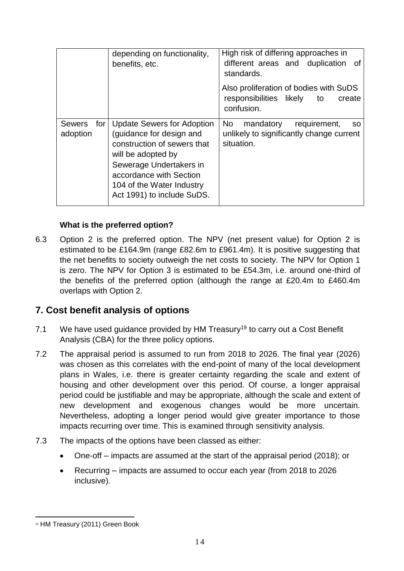|                                  | depending on functionality,<br>benefits, etc.                                                                                                                                                                                       | High risk of differing approaches in<br>different areas and duplication of<br>standards.               |
|----------------------------------|-------------------------------------------------------------------------------------------------------------------------------------------------------------------------------------------------------------------------------------|--------------------------------------------------------------------------------------------------------|
|                                  |                                                                                                                                                                                                                                     | Also proliferation of bodies with SuDS<br>responsibilities likely<br>to<br>create<br>confusion.        |
| <b>Sewers</b><br>for<br>adoption | <b>Update Sewers for Adoption</b><br>(guidance for design and<br>construction of sewers that<br>will be adopted by<br>Sewerage Undertakers in<br>accordance with Section<br>104 of the Water Industry<br>Act 1991) to include SuDS. | No<br>mandatory<br>requirement,<br><b>SO</b><br>unlikely to significantly change current<br>situation. |

# **What is the preferred option?**

6.3 Option 2 is the preferred option. The NPV (net present value) for Option 2 is estimated to be £164.9m (range £82.6m to £961.4m). It is positive suggesting that the net benefits to society outweigh the net costs to society. The NPV for Option 1 is zero. The NPV for Option 3 is estimated to be £54.3m, i.e. around one-third of the benefits of the preferred option (although the range at £20.4m to £460.4m overlaps with Option 2.

# **7. Cost benefit analysis of options**

- 7.1 We have used quidance provided by HM Treasury<sup>19</sup> to carry out a Cost Benefit Analysis (CBA) for the three policy options.
- 7.2 The appraisal period is assumed to run from 2018 to 2026. The final year (2026) was chosen as this correlates with the end-point of many of the local development plans in Wales, i.e. there is greater certainty regarding the scale and extent of housing and other development over this period. Of course, a longer appraisal period could be justifiable and may be appropriate, although the scale and extent of new development and exogenous changes would be more uncertain. Nevertheless, adopting a longer period would give greater importance to those impacts recurring over time. This is examined through sensitivity analysis.
- 7.3 The impacts of the options have been classed as either:
	- One-off impacts are assumed at the start of the appraisal period (2018); or
	- Recurring impacts are assumed to occur each year (from 2018 to 2026 inclusive).

<sup>19</sup> HM Treasury (2011) Green Book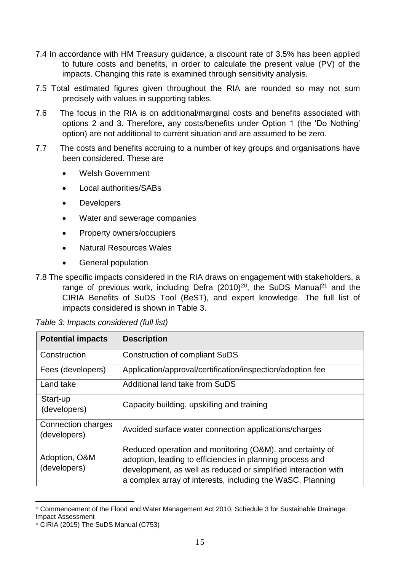- 7.4 In accordance with HM Treasury guidance, a discount rate of 3.5% has been applied to future costs and benefits, in order to calculate the present value (PV) of the impacts. Changing this rate is examined through sensitivity analysis.
- 7.5 Total estimated figures given throughout the RIA are rounded so may not sum precisely with values in supporting tables.
- 7.6 The focus in the RIA is on additional/marginal costs and benefits associated with options 2 and 3. Therefore, any costs/benefits under Option 1 (the 'Do Nothing' option) are not additional to current situation and are assumed to be zero.
- 7.7 The costs and benefits accruing to a number of key groups and organisations have been considered. These are
	- Welsh Government
	- Local authorities/SABs
	- Developers
	- Water and sewerage companies
	- Property owners/occupiers
	- Natural Resources Wales
	- General population

<sup>7.8</sup> The specific impacts considered in the RIA draws on engagement with stakeholders, a range of previous work, including Defra (2010)<sup>20</sup>, the SuDS Manual<sup>21</sup> and the CIRIA Benefits of SuDS Tool (BeST), and expert knowledge. The full list of impacts considered is shown in Table 3.

| <b>Potential impacts</b>           | <b>Description</b>                                                                                                                                                                                                                                    |
|------------------------------------|-------------------------------------------------------------------------------------------------------------------------------------------------------------------------------------------------------------------------------------------------------|
| Construction                       | <b>Construction of compliant SuDS</b>                                                                                                                                                                                                                 |
| Fees (developers)                  | Application/approval/certification/inspection/adoption fee                                                                                                                                                                                            |
| Land take                          | Additional land take from SuDS                                                                                                                                                                                                                        |
| Start-up<br>(developers)           | Capacity building, upskilling and training                                                                                                                                                                                                            |
| Connection charges<br>(developers) | Avoided surface water connection applications/charges                                                                                                                                                                                                 |
| Adoption, O&M<br>(developers)      | Reduced operation and monitoring (O&M), and certainty of<br>adoption, leading to efficiencies in planning process and<br>development, as well as reduced or simplified interaction with<br>a complex array of interests, including the WaSC, Planning |

<sup>20</sup> Commencement of the Flood and Water Management Act 2010, Schedule 3 for Sustainable Drainage: Impact Assessment

 $21$  CIRIA (2015) The SuDS Manual (C753)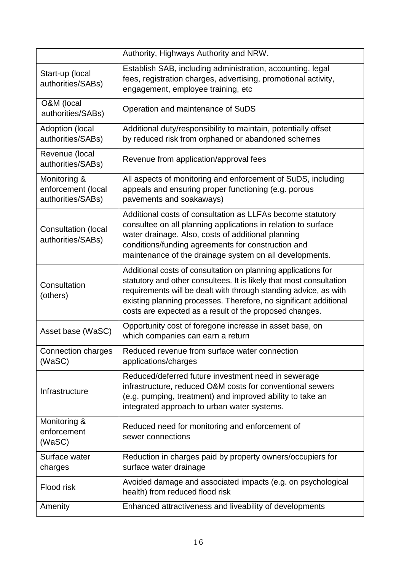|                                                         | Authority, Highways Authority and NRW.                                                                                                                                                                                                                                                                                                   |
|---------------------------------------------------------|------------------------------------------------------------------------------------------------------------------------------------------------------------------------------------------------------------------------------------------------------------------------------------------------------------------------------------------|
| Start-up (local<br>authorities/SABs)                    | Establish SAB, including administration, accounting, legal<br>fees, registration charges, advertising, promotional activity,<br>engagement, employee training, etc                                                                                                                                                                       |
| O&M (local<br>authorities/SABs)                         | Operation and maintenance of SuDS                                                                                                                                                                                                                                                                                                        |
| Adoption (local<br>authorities/SABs)                    | Additional duty/responsibility to maintain, potentially offset<br>by reduced risk from orphaned or abandoned schemes                                                                                                                                                                                                                     |
| Revenue (local<br>authorities/SABs)                     | Revenue from application/approval fees                                                                                                                                                                                                                                                                                                   |
| Monitoring &<br>enforcement (local<br>authorities/SABs) | All aspects of monitoring and enforcement of SuDS, including<br>appeals and ensuring proper functioning (e.g. porous<br>pavements and soakaways)                                                                                                                                                                                         |
| Consultation (local<br>authorities/SABs)                | Additional costs of consultation as LLFAs become statutory<br>consultee on all planning applications in relation to surface<br>water drainage. Also, costs of additional planning<br>conditions/funding agreements for construction and<br>maintenance of the drainage system on all developments.                                       |
| Consultation<br>(others)                                | Additional costs of consultation on planning applications for<br>statutory and other consultees. It is likely that most consultation<br>requirements will be dealt with through standing advice, as with<br>existing planning processes. Therefore, no significant additional<br>costs are expected as a result of the proposed changes. |
| Asset base (WaSC)                                       | Opportunity cost of foregone increase in asset base, on<br>which companies can earn a return                                                                                                                                                                                                                                             |
| <b>Connection charges</b><br>(WaSC)                     | Reduced revenue from surface water connection<br>applications/charges                                                                                                                                                                                                                                                                    |
| Infrastructure                                          | Reduced/deferred future investment need in sewerage<br>infrastructure, reduced O&M costs for conventional sewers<br>(e.g. pumping, treatment) and improved ability to take an<br>integrated approach to urban water systems.                                                                                                             |
| Monitoring &<br>enforcement<br>(WaSC)                   | Reduced need for monitoring and enforcement of<br>sewer connections                                                                                                                                                                                                                                                                      |
| Surface water<br>charges                                | Reduction in charges paid by property owners/occupiers for<br>surface water drainage                                                                                                                                                                                                                                                     |
| Flood risk                                              | Avoided damage and associated impacts (e.g. on psychological<br>health) from reduced flood risk                                                                                                                                                                                                                                          |
| Amenity                                                 | Enhanced attractiveness and liveability of developments                                                                                                                                                                                                                                                                                  |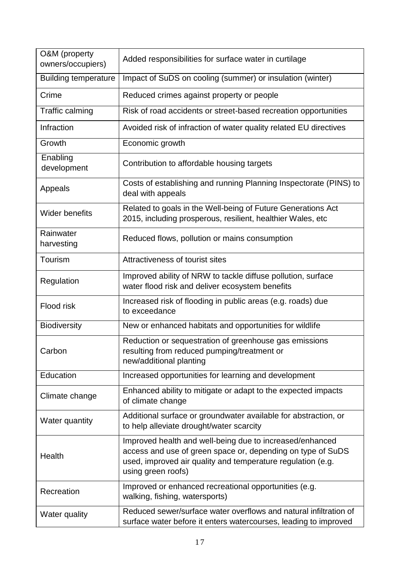| O&M (property<br>owners/occupiers) | Added responsibilities for surface water in curtilage                                                                                                                                                        |
|------------------------------------|--------------------------------------------------------------------------------------------------------------------------------------------------------------------------------------------------------------|
| <b>Building temperature</b>        | Impact of SuDS on cooling (summer) or insulation (winter)                                                                                                                                                    |
| Crime                              | Reduced crimes against property or people                                                                                                                                                                    |
| Traffic calming                    | Risk of road accidents or street-based recreation opportunities                                                                                                                                              |
| Infraction                         | Avoided risk of infraction of water quality related EU directives                                                                                                                                            |
| Growth                             | Economic growth                                                                                                                                                                                              |
| Enabling<br>development            | Contribution to affordable housing targets                                                                                                                                                                   |
| Appeals                            | Costs of establishing and running Planning Inspectorate (PINS) to<br>deal with appeals                                                                                                                       |
| <b>Wider benefits</b>              | Related to goals in the Well-being of Future Generations Act<br>2015, including prosperous, resilient, healthier Wales, etc                                                                                  |
| Rainwater<br>harvesting            | Reduced flows, pollution or mains consumption                                                                                                                                                                |
| Tourism                            | Attractiveness of tourist sites                                                                                                                                                                              |
| Regulation                         | Improved ability of NRW to tackle diffuse pollution, surface<br>water flood risk and deliver ecosystem benefits                                                                                              |
| Flood risk                         | Increased risk of flooding in public areas (e.g. roads) due<br>to exceedance                                                                                                                                 |
| <b>Biodiversity</b>                | New or enhanced habitats and opportunities for wildlife                                                                                                                                                      |
| Carbon                             | Reduction or sequestration of greenhouse gas emissions<br>resulting from reduced pumping/treatment or<br>new/additional planting                                                                             |
| Education                          | Increased opportunities for learning and development                                                                                                                                                         |
| Climate change                     | Enhanced ability to mitigate or adapt to the expected impacts<br>of climate change                                                                                                                           |
| Water quantity                     | Additional surface or groundwater available for abstraction, or<br>to help alleviate drought/water scarcity                                                                                                  |
| Health                             | Improved health and well-being due to increased/enhanced<br>access and use of green space or, depending on type of SuDS<br>used, improved air quality and temperature regulation (e.g.<br>using green roofs) |
| Recreation                         | Improved or enhanced recreational opportunities (e.g.<br>walking, fishing, watersports)                                                                                                                      |
| Water quality                      | Reduced sewer/surface water overflows and natural infiltration of<br>surface water before it enters watercourses, leading to improved                                                                        |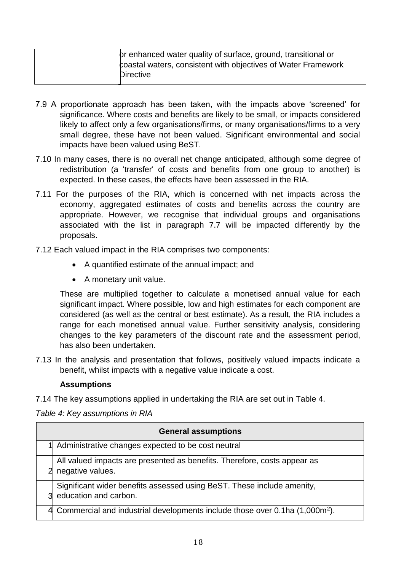| or enhanced water quality of surface, ground, transitional or |
|---------------------------------------------------------------|
| coastal waters, consistent with objectives of Water Framework |
| <b>Directive</b>                                              |

- 7.9 A proportionate approach has been taken, with the impacts above 'screened' for significance. Where costs and benefits are likely to be small, or impacts considered likely to affect only a few organisations/firms, or many organisations/firms to a very small degree, these have not been valued. Significant environmental and social impacts have been valued using BeST.
- 7.10 In many cases, there is no overall net change anticipated, although some degree of redistribution (a 'transfer' of costs and benefits from one group to another) is expected. In these cases, the effects have been assessed in the RIA.
- 7.11 For the purposes of the RIA, which is concerned with net impacts across the economy, aggregated estimates of costs and benefits across the country are appropriate. However, we recognise that individual groups and organisations associated with the list in paragraph 7.7 will be impacted differently by the proposals.
- 7.12 Each valued impact in the RIA comprises two components:
	- A quantified estimate of the annual impact; and
	- A monetary unit value.

These are multiplied together to calculate a monetised annual value for each significant impact. Where possible, low and high estimates for each component are considered (as well as the central or best estimate). As a result, the RIA includes a range for each monetised annual value. Further sensitivity analysis, considering changes to the key parameters of the discount rate and the assessment period, has also been undertaken.

7.13 In the analysis and presentation that follows, positively valued impacts indicate a benefit, whilst impacts with a negative value indicate a cost.

#### **Assumptions**

7.14 The key assumptions applied in undertaking the RIA are set out in Table 4.

*Table 4: Key assumptions in RIA*

| <b>General assumptions</b>                                                                      |
|-------------------------------------------------------------------------------------------------|
| 1 Administrative changes expected to be cost neutral                                            |
| All valued impacts are presented as benefits. Therefore, costs appear as<br>negative values.    |
| Significant wider benefits assessed using BeST. These include amenity,<br>education and carbon. |
| 4 Commercial and industrial developments include those over 0.1ha (1,000m <sup>2</sup> ).       |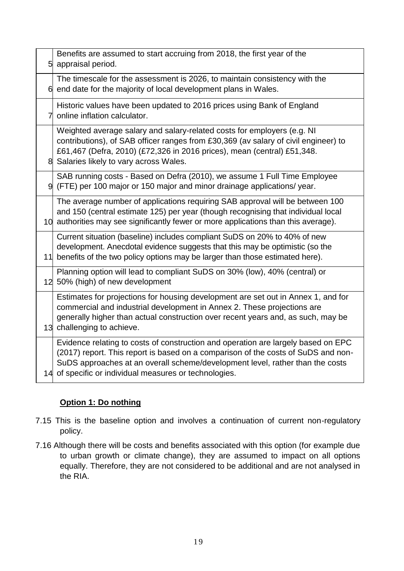|    | Benefits are assumed to start accruing from 2018, the first year of the<br>5 appraisal period.                                                                                                                                                                                                                    |
|----|-------------------------------------------------------------------------------------------------------------------------------------------------------------------------------------------------------------------------------------------------------------------------------------------------------------------|
|    | The timescale for the assessment is 2026, to maintain consistency with the<br>$6$ end date for the majority of local development plans in Wales.                                                                                                                                                                  |
| 71 | Historic values have been updated to 2016 prices using Bank of England<br>online inflation calculator.                                                                                                                                                                                                            |
|    | Weighted average salary and salary-related costs for employers (e.g. NI<br>contributions), of SAB officer ranges from £30,369 (av salary of civil engineer) to<br>£61,467 (Defra, 2010) (£72,326 in 2016 prices), mean (central) £51,348.<br>8 Salaries likely to vary across Wales.                              |
|    | SAB running costs - Based on Defra (2010), we assume 1 Full Time Employee<br>9 (FTE) per 100 major or 150 major and minor drainage applications/ year.                                                                                                                                                            |
|    | The average number of applications requiring SAB approval will be between 100<br>and 150 (central estimate 125) per year (though recognising that individual local<br>10 authorities may see significantly fewer or more applications than this average).                                                         |
|    | Current situation (baseline) includes compliant SuDS on 20% to 40% of new<br>development. Anecdotal evidence suggests that this may be optimistic (so the<br>11 benefits of the two policy options may be larger than those estimated here).                                                                      |
|    | Planning option will lead to compliant SuDS on 30% (low), 40% (central) or<br>12 50% (high) of new development                                                                                                                                                                                                    |
|    | Estimates for projections for housing development are set out in Annex 1, and for<br>commercial and industrial development in Annex 2. These projections are<br>generally higher than actual construction over recent years and, as such, may be<br>13 challenging to achieve.                                    |
|    | Evidence relating to costs of construction and operation are largely based on EPC<br>(2017) report. This report is based on a comparison of the costs of SuDS and non-<br>SuDS approaches at an overall scheme/development level, rather than the costs<br>14 of specific or individual measures or technologies. |

# **Option 1: Do nothing**

- 7.15 This is the baseline option and involves a continuation of current non-regulatory policy.
- 7.16 Although there will be costs and benefits associated with this option (for example due to urban growth or climate change), they are assumed to impact on all options equally. Therefore, they are not considered to be additional and are not analysed in the RIA.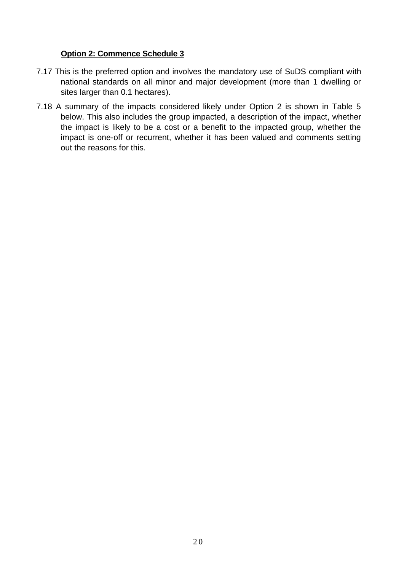#### **Option 2: Commence Schedule 3**

- 7.17 This is the preferred option and involves the mandatory use of SuDS compliant with national standards on all minor and major development (more than 1 dwelling or sites larger than 0.1 hectares).
- 7.18 A summary of the impacts considered likely under Option 2 is shown in Table 5 below. This also includes the group impacted, a description of the impact, whether the impact is likely to be a cost or a benefit to the impacted group, whether the impact is one-off or recurrent, whether it has been valued and comments setting out the reasons for this.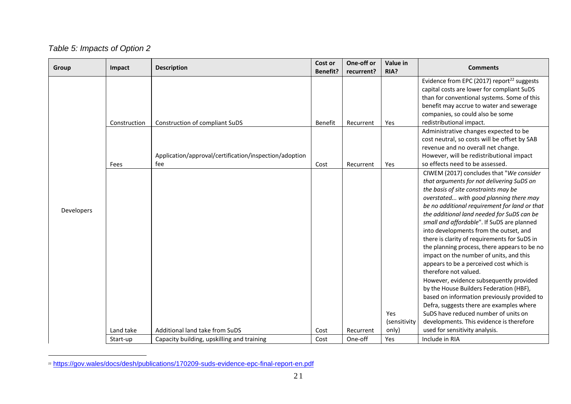# *Table 5: Impacts of Option 2*

| Group      | Impact       | Cost or<br><b>Description</b>                          |                 | One-off or | Value in<br>RIA? | <b>Comments</b>                                        |
|------------|--------------|--------------------------------------------------------|-----------------|------------|------------------|--------------------------------------------------------|
|            |              |                                                        | <b>Benefit?</b> | recurrent? |                  |                                                        |
|            |              |                                                        |                 |            |                  | Evidence from EPC (2017) report <sup>22</sup> suggests |
|            |              |                                                        |                 |            |                  | capital costs are lower for compliant SuDS             |
|            |              |                                                        |                 |            |                  | than for conventional systems. Some of this            |
|            |              |                                                        |                 |            |                  | benefit may accrue to water and sewerage               |
|            |              |                                                        |                 |            |                  | companies, so could also be some                       |
|            | Construction | Construction of compliant SuDS                         | Benefit         | Recurrent  | Yes              | redistributional impact.                               |
|            |              |                                                        |                 |            |                  | Administrative changes expected to be                  |
|            |              |                                                        |                 |            |                  | cost neutral, so costs will be offset by SAB           |
|            |              |                                                        |                 |            |                  | revenue and no overall net change.                     |
|            |              | Application/approval/certification/inspection/adoption |                 |            |                  | However, will be redistributional impact               |
|            | Fees         | fee                                                    | Cost            | Recurrent  | Yes              | so effects need to be assessed.                        |
|            |              |                                                        |                 |            |                  | CIWEM (2017) concludes that "We consider               |
|            |              |                                                        |                 |            |                  | that arguments for not delivering SuDS on              |
|            |              |                                                        |                 |            |                  | the basis of site constraints may be                   |
|            |              |                                                        |                 |            |                  | overstated with good planning there may                |
|            |              |                                                        |                 |            |                  | be no additional requirement for land or that          |
| Developers |              |                                                        |                 |            |                  | the additional land needed for SuDS can be             |
|            |              |                                                        |                 |            |                  | small and affordable". If SuDS are planned             |
|            |              |                                                        |                 |            |                  | into developments from the outset, and                 |
|            |              |                                                        |                 |            |                  | there is clarity of requirements for SuDS in           |
|            |              |                                                        |                 |            |                  | the planning process, there appears to be no           |
|            |              |                                                        |                 |            |                  | impact on the number of units, and this                |
|            |              |                                                        |                 |            |                  | appears to be a perceived cost which is                |
|            |              |                                                        |                 |            |                  | therefore not valued.                                  |
|            |              |                                                        |                 |            |                  | However, evidence subsequently provided                |
|            |              |                                                        |                 |            |                  | by the House Builders Federation (HBF),                |
|            |              |                                                        |                 |            |                  | based on information previously provided to            |
|            |              |                                                        |                 |            |                  | Defra, suggests there are examples where               |
|            |              |                                                        |                 |            | Yes              | SuDS have reduced number of units on                   |
|            |              |                                                        |                 |            | (sensitivity     | developments. This evidence is therefore               |
|            | Land take    | Additional land take from SuDS                         | Cost            | Recurrent  | only)            | used for sensitivity analysis.                         |
|            | Start-up     | Capacity building, upskilling and training             | Cost            | One-off    | Yes              | Include in RIA                                         |

<sup>&</sup>lt;sup>22</sup> <https://gov.wales/docs/desh/publications/170209-suds-evidence-epc-final-report-en.pdf>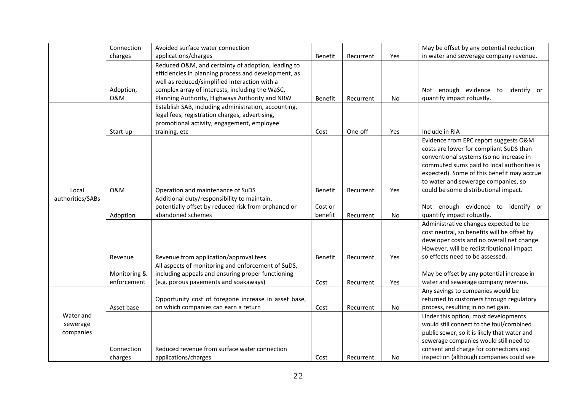|                           | Connection   | Avoided surface water connection                     |         |           |           | May be offset by any potential reduction                                          |
|---------------------------|--------------|------------------------------------------------------|---------|-----------|-----------|-----------------------------------------------------------------------------------|
|                           | charges      | applications/charges                                 | Benefit | Recurrent | Yes       | in water and sewerage company revenue.                                            |
|                           |              | Reduced O&M, and certainty of adoption, leading to   |         |           |           |                                                                                   |
|                           |              | efficiencies in planning process and development, as |         |           |           |                                                                                   |
|                           |              | well as reduced/simplified interaction with a        |         |           |           |                                                                                   |
|                           | Adoption,    | complex array of interests, including the WaSC,      |         |           |           | Not enough evidence to<br>identify or                                             |
|                           | 0&M          | Planning Authority, Highways Authority and NRW       | Benefit | Recurrent | No        | quantify impact robustly.                                                         |
|                           |              | Establish SAB, including administration, accounting, |         |           |           |                                                                                   |
|                           |              | legal fees, registration charges, advertising,       |         |           |           |                                                                                   |
|                           |              | promotional activity, engagement, employee           |         |           |           |                                                                                   |
|                           | Start-up     | training, etc                                        | Cost    | One-off   | Yes       | Include in RIA                                                                    |
|                           |              |                                                      |         |           |           | Evidence from EPC report suggests O&M                                             |
|                           |              |                                                      |         |           |           | costs are lower for compliant SuDS than                                           |
|                           |              |                                                      |         |           |           | conventional systems (so no increase in                                           |
|                           |              |                                                      |         |           |           | commuted sums paid to local authorities is                                        |
|                           |              |                                                      |         |           |           | expected). Some of this benefit may accrue<br>to water and sewerage companies, so |
|                           | 0&M          | Operation and maintenance of SuDS                    | Benefit | Recurrent | Yes       | could be some distributional impact.                                              |
| Local<br>authorities/SABs |              | Additional duty/responsibility to maintain,          |         |           |           |                                                                                   |
|                           |              | potentially offset by reduced risk from orphaned or  | Cost or |           |           | Not enough evidence to identify or                                                |
|                           | Adoption     | abandoned schemes                                    | benefit | Recurrent | No        | quantify impact robustly.                                                         |
|                           |              |                                                      |         |           |           | Administrative changes expected to be                                             |
|                           |              |                                                      |         |           |           | cost neutral, so benefits will be offset by                                       |
|                           |              |                                                      |         |           |           | developer costs and no overall net change.                                        |
|                           |              |                                                      |         |           |           | However, will be redistributional impact                                          |
|                           | Revenue      | Revenue from application/approval fees               | Benefit | Recurrent | Yes       | so effects need to be assessed.                                                   |
|                           |              | All aspects of monitoring and enforcement of SuDS,   |         |           |           |                                                                                   |
|                           | Monitoring & | including appeals and ensuring proper functioning    |         |           |           | May be offset by any potential increase in                                        |
|                           | enforcement  | (e.g. porous pavements and soakaways)                | Cost    | Recurrent | Yes       | water and sewerage company revenue.                                               |
|                           |              |                                                      |         |           |           | Any savings to companies would be                                                 |
|                           |              | Opportunity cost of foregone increase in asset base, |         |           |           | returned to customers through regulatory                                          |
|                           | Asset base   | on which companies can earn a return                 | Cost    | Recurrent | <b>No</b> | process, resulting in no net gain.                                                |
| Water and                 |              |                                                      |         |           |           | Under this option, most developments                                              |
| sewerage                  |              |                                                      |         |           |           | would still connect to the foul/combined                                          |
| companies                 |              |                                                      |         |           |           | public sewer, so it is likely that water and                                      |
|                           |              |                                                      |         |           |           | sewerage companies would still need to                                            |
|                           | Connection   | Reduced revenue from surface water connection        |         |           |           | consent and charge for connections and                                            |
|                           | charges      | applications/charges                                 | Cost    | Recurrent | No        | inspection (although companies could see                                          |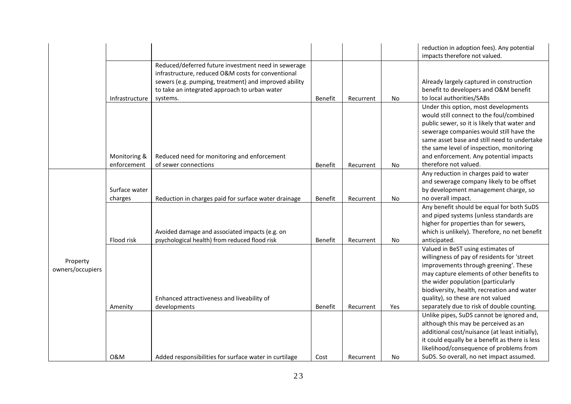|                              |                             |                                                                                                                                                                          |         |           |     | reduction in adoption fees). Any potential<br>impacts therefore not valued.                                                                                                                                                                                                                                                                   |
|------------------------------|-----------------------------|--------------------------------------------------------------------------------------------------------------------------------------------------------------------------|---------|-----------|-----|-----------------------------------------------------------------------------------------------------------------------------------------------------------------------------------------------------------------------------------------------------------------------------------------------------------------------------------------------|
|                              |                             | Reduced/deferred future investment need in sewerage                                                                                                                      |         |           |     |                                                                                                                                                                                                                                                                                                                                               |
|                              | Infrastructure              | infrastructure, reduced O&M costs for conventional<br>sewers (e.g. pumping, treatment) and improved ability<br>to take an integrated approach to urban water<br>systems. | Benefit | Recurrent | No  | Already largely captured in construction<br>benefit to developers and O&M benefit<br>to local authorities/SABs                                                                                                                                                                                                                                |
|                              | Monitoring &<br>enforcement | Reduced need for monitoring and enforcement<br>of sewer connections                                                                                                      | Benefit | Recurrent | No  | Under this option, most developments<br>would still connect to the foul/combined<br>public sewer, so it is likely that water and<br>sewerage companies would still have the<br>same asset base and still need to undertake<br>the same level of inspection, monitoring<br>and enforcement. Any potential impacts<br>therefore not valued.     |
|                              |                             |                                                                                                                                                                          |         |           |     | Any reduction in charges paid to water                                                                                                                                                                                                                                                                                                        |
| Property<br>owners/occupiers | Surface water<br>charges    | Reduction in charges paid for surface water drainage                                                                                                                     | Benefit | Recurrent | No  | and sewerage company likely to be offset<br>by development management charge, so<br>no overall impact.                                                                                                                                                                                                                                        |
|                              | Flood risk                  | Avoided damage and associated impacts (e.g. on<br>psychological health) from reduced flood risk                                                                          | Benefit | Recurrent | No  | Any benefit should be equal for both SuDS<br>and piped systems (unless standards are<br>higher for properties than for sewers,<br>which is unlikely). Therefore, no net benefit<br>anticipated.                                                                                                                                               |
|                              | Amenity                     | Enhanced attractiveness and liveability of<br>developments                                                                                                               | Benefit | Recurrent | Yes | Valued in BeST using estimates of<br>willingness of pay of residents for 'street<br>improvements through greening'. These<br>may capture elements of other benefits to<br>the wider population (particularly<br>biodiversity, health, recreation and water<br>quality), so these are not valued<br>separately due to risk of double counting. |
|                              | 0&M                         | Added responsibilities for surface water in curtilage                                                                                                                    | Cost    | Recurrent | No  | Unlike pipes, SuDS cannot be ignored and,<br>although this may be perceived as an<br>additional cost/nuisance (at least initially),<br>it could equally be a benefit as there is less<br>likelihood/consequence of problems from<br>SuDS. So overall, no net impact assumed.                                                                  |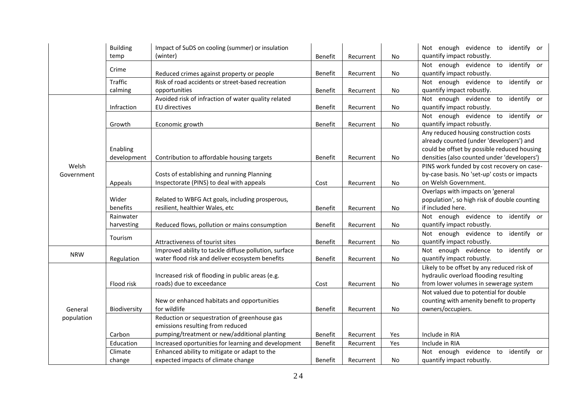|            | <b>Building</b> | Impact of SuDS on cooling (summer) or insulation      |         |           |     | Not enough evidence to<br>identify or        |
|------------|-----------------|-------------------------------------------------------|---------|-----------|-----|----------------------------------------------|
|            | temp            | (winter)                                              | Benefit | Recurrent | No  | quantify impact robustly.                    |
|            |                 |                                                       |         |           |     | Not enough evidence to<br>identify or        |
|            | Crime           | Reduced crimes against property or people             | Benefit | Recurrent | No  | quantify impact robustly.                    |
|            | <b>Traffic</b>  | Risk of road accidents or street-based recreation     |         |           |     | Not enough evidence to<br>identify or        |
|            | calming         | opportunities                                         | Benefit | Recurrent | No  | quantify impact robustly.                    |
|            |                 | Avoided risk of infraction of water quality related   |         |           |     | identify or<br>Not enough evidence to        |
|            | Infraction      | EU directives                                         | Benefit | Recurrent | No  | quantify impact robustly.                    |
|            |                 |                                                       |         |           |     | Not enough evidence to<br>identify or        |
|            | Growth          | Economic growth                                       | Benefit | Recurrent | No  | quantify impact robustly.                    |
|            |                 |                                                       |         |           |     | Any reduced housing construction costs       |
|            |                 |                                                       |         |           |     | already counted (under 'developers') and     |
|            | Enabling        |                                                       |         |           |     | could be offset by possible reduced housing  |
|            | development     | Contribution to affordable housing targets            | Benefit | Recurrent | No  | densities (also counted under 'developers')  |
| Welsh      |                 |                                                       |         |           |     | PINS work funded by cost recovery on case-   |
| Government |                 | Costs of establishing and running Planning            |         |           |     | by-case basis. No 'set-up' costs or impacts  |
|            | Appeals         | Inspectorate (PINS) to deal with appeals              | Cost    | Recurrent | No  | on Welsh Government.                         |
|            |                 |                                                       |         |           |     | Overlaps with impacts on 'general            |
|            | Wider           | Related to WBFG Act goals, including prosperous,      |         |           |     | population', so high risk of double counting |
|            | benefits        | resilient, healthier Wales, etc                       | Benefit | Recurrent | No  | if included here.                            |
|            | Rainwater       |                                                       |         |           |     | Not enough evidence to identify or           |
|            | harvesting      | Reduced flows, pollution or mains consumption         | Benefit | Recurrent | No  | quantify impact robustly.                    |
|            |                 |                                                       |         |           |     | Not enough evidence to<br>identify or        |
|            | Tourism         | Attractiveness of tourist sites                       | Benefit | Recurrent | No  | quantify impact robustly.                    |
| <b>NRW</b> |                 | Improved ability to tackle diffuse pollution, surface |         |           |     | Not enough evidence to<br>identify or        |
|            | Regulation      | water flood risk and deliver ecosystem benefits       | Benefit | Recurrent | No  | quantify impact robustly.                    |
|            |                 |                                                       |         |           |     | Likely to be offset by any reduced risk of   |
|            |                 | Increased risk of flooding in public areas (e.g.      |         |           |     | hydraulic overload flooding resulting        |
|            | Flood risk      | roads) due to exceedance                              | Cost    | Recurrent | No  | from lower volumes in sewerage system        |
|            |                 |                                                       |         |           |     | Not valued due to potential for double       |
|            |                 | New or enhanced habitats and opportunities            |         |           |     | counting with amenity benefit to property    |
| General    | Biodiversity    | for wildlife                                          | Benefit | Recurrent | No  | owners/occupiers.                            |
| population |                 | Reduction or sequestration of greenhouse gas          |         |           |     |                                              |
|            |                 | emissions resulting from reduced                      |         |           |     |                                              |
|            | Carbon          | pumping/treatment or new/additional planting          | Benefit | Recurrent | Yes | Include in RIA                               |
|            | Education       | Increased oportunities for learning and development   | Benefit | Recurrent | Yes | Include in RIA                               |
|            | Climate         | Enhanced ability to mitigate or adapt to the          |         |           |     | Not enough evidence to<br>identify or        |
|            | change          | expected impacts of climate change                    | Benefit | Recurrent | No  | quantify impact robustly.                    |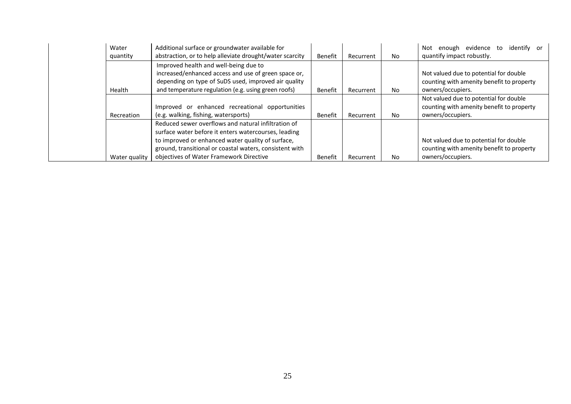| Water                                              | Additional surface or groundwater available for          |                |           |     | identify or<br>enough evidence to<br>Not  |
|----------------------------------------------------|----------------------------------------------------------|----------------|-----------|-----|-------------------------------------------|
| quantity                                           | abstraction, or to help alleviate drought/water scarcity | Benefit        | Recurrent | No. | quantify impact robustly.                 |
|                                                    | Improved health and well-being due to                    |                |           |     |                                           |
|                                                    | increased/enhanced access and use of green space or,     |                |           |     | Not valued due to potential for double    |
|                                                    | depending on type of SuDS used, improved air quality     |                |           |     | counting with amenity benefit to property |
| Health                                             | and temperature regulation (e.g. using green roofs)      | Benefit        | Recurrent | No. | owners/occupiers.                         |
|                                                    |                                                          |                |           |     | Not valued due to potential for double    |
| Improved or enhanced recreational opportunities    |                                                          |                |           |     | counting with amenity benefit to property |
| (e.g. walking, fishing, watersports)<br>Recreation |                                                          |                | Recurrent | No  | owners/occupiers.                         |
|                                                    | Reduced sewer overflows and natural infiltration of      |                |           |     |                                           |
|                                                    | surface water before it enters watercourses, leading     |                |           |     |                                           |
| to improved or enhanced water quality of surface,  |                                                          |                |           |     | Not valued due to potential for double    |
|                                                    | ground, transitional or coastal waters, consistent with  |                |           |     | counting with amenity benefit to property |
| Water quality                                      | objectives of Water Framework Directive                  | <b>Benefit</b> | Recurrent | No. | owners/occupiers.                         |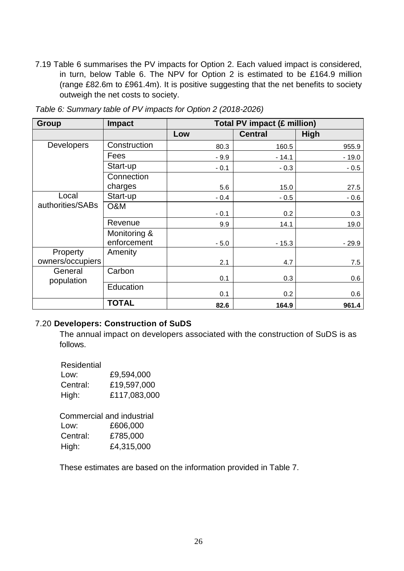7.19 Table 6 summarises the PV impacts for Option 2. Each valued impact is considered, in turn, below Table 6. The NPV for Option 2 is estimated to be £164.9 million (range £82.6m to £961.4m). It is positive suggesting that the net benefits to society outweigh the net costs to society.

| Group                 | <b>Impact</b>               | Total PV impact (£ million) |                |         |  |  |
|-----------------------|-----------------------------|-----------------------------|----------------|---------|--|--|
|                       |                             | Low                         | <b>Central</b> | High    |  |  |
| <b>Developers</b>     | Construction                | 80.3                        | 160.5          | 955.9   |  |  |
|                       | Fees                        | $-9.9$                      | $-14.1$        | $-19.0$ |  |  |
|                       | Start-up                    | $-0.1$                      | $-0.3$         | $-0.5$  |  |  |
|                       | Connection                  |                             |                |         |  |  |
|                       | charges                     | 5.6                         | 15.0           | 27.5    |  |  |
| Local                 | Start-up                    | $-0.4$                      | $-0.5$         | $-0.6$  |  |  |
| authorities/SABs      | O&M                         | $-0.1$                      | 0.2            | 0.3     |  |  |
|                       | Revenue                     | 9.9                         | 14.1           | 19.0    |  |  |
|                       | Monitoring &<br>enforcement | $-5.0$                      | $-15.3$        | $-29.9$ |  |  |
| Property              | Amenity                     |                             |                |         |  |  |
| owners/occupiers      |                             | 2.1                         | 4.7            | 7.5     |  |  |
| General<br>population | Carbon                      | 0.1                         | 0.3            | 0.6     |  |  |
|                       | Education                   | 0.1                         | 0.2            | 0.6     |  |  |
|                       | <b>TOTAL</b>                | 82.6                        | 164.9          | 961.4   |  |  |

*Table 6: Summary table of PV impacts for Option 2 (2018-2026)*

#### 7.20 **Developers: Construction of SuDS**

The annual impact on developers associated with the construction of SuDS is as follows.

Residential

| Low:     | £9,594,000   |
|----------|--------------|
| Central: | £19,597,000  |
| High:    | £117,083,000 |

Commercial and industrial Low: £606,000 Central: £785,000 High: £4,315,000

These estimates are based on the information provided in Table 7.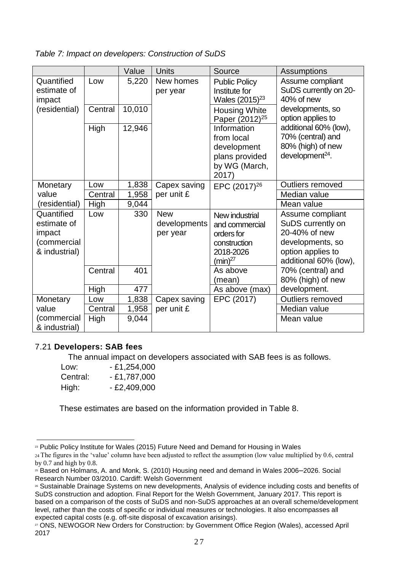#### *Table 7: Impact on developers: Construction of SuDS*

|                                                                     |         | Value  | <b>Units</b>                           | Source                                                                                      | Assumptions                                                                                                              |
|---------------------------------------------------------------------|---------|--------|----------------------------------------|---------------------------------------------------------------------------------------------|--------------------------------------------------------------------------------------------------------------------------|
| Quantified<br>estimate of<br>impact                                 | Low     | 5,220  | New homes<br>per year                  | <b>Public Policy</b><br>Institute for<br>Wales $(2015)^{23}$                                | Assume compliant<br>SuDS currently on 20-<br>40% of new                                                                  |
| (residential)                                                       | Central | 10,010 |                                        | <b>Housing White</b><br>Paper (2012) <sup>25</sup>                                          | developments, so<br>option applies to                                                                                    |
|                                                                     | High    | 12,946 |                                        | Information<br>from local<br>development<br>plans provided<br>by WG (March,<br>2017)        | additional 60% (low),<br>70% (central) and<br>80% (high) of new<br>development $^{24}$ .                                 |
| Monetary                                                            | Low     | 1,838  | Capex saving                           | EPC (2017) <sup>26</sup>                                                                    | Outliers removed                                                                                                         |
| value                                                               | Central | 1,958  | per unit £                             |                                                                                             | Median value                                                                                                             |
| (residential)                                                       | High    | 9,044  |                                        |                                                                                             | Mean value                                                                                                               |
| Quantified<br>estimate of<br>impact<br>(commercial<br>& industrial) | Low     | 330    | <b>New</b><br>developments<br>per year | New industrial<br>and commercial<br>orders for<br>construction<br>2018-2026<br>$(min)^{27}$ | Assume compliant<br>SuDS currently on<br>20-40% of new<br>developments, so<br>option applies to<br>additional 60% (low), |
|                                                                     | Central | 401    |                                        | As above<br>(mean)                                                                          | 70% (central) and<br>80% (high) of new                                                                                   |
|                                                                     | High    | 477    |                                        | As above (max)                                                                              | development.                                                                                                             |
| Monetary                                                            | Low     | 1,838  | Capex saving                           | EPC (2017)                                                                                  | Outliers removed                                                                                                         |
| value                                                               | Central | 1,958  | per unit £                             |                                                                                             | Median value                                                                                                             |
| (commercial<br>& industrial)                                        | High    | 9,044  |                                        |                                                                                             | Mean value                                                                                                               |

# 7.21 **Developers: SAB fees**

The annual impact on developers associated with SAB fees is as follows.

| Low:     | $-£1,254,000$ |
|----------|---------------|
| Central: | $-£1,787,000$ |
| High:    | - £2,409,000  |

These estimates are based on the information provided in Table 8.

<sup>23</sup> Public Policy Institute for Wales (2015) Future Need and Demand for Housing in Wales

<sup>24</sup>The figures in the 'value' column have been adjusted to reflect the assumption (low value multiplied by 0.6, central by 0.7 and high by 0.8.

<sup>&</sup>lt;sup>25</sup> Based on Holmans, A. and Monk, S. (2010) Housing need and demand in Wales 2006–2026. Social Research Number 03/2010. Cardiff: Welsh Government

<sup>26</sup> Sustainable Drainage Systems on new developments, Analysis of evidence including costs and benefits of SuDS construction and adoption. Final Report for the Welsh Government, January 2017. This report is based on a comparison of the costs of SuDS and non-SuDS approaches at an overall scheme/development level, rather than the costs of specific or individual measures or technologies. It also encompasses all expected capital costs (e.g. off-site disposal of excavation arisings).

<sup>27</sup> ONS, NEWOGOR New Orders for Construction: by Government Office Region (Wales), accessed April 2017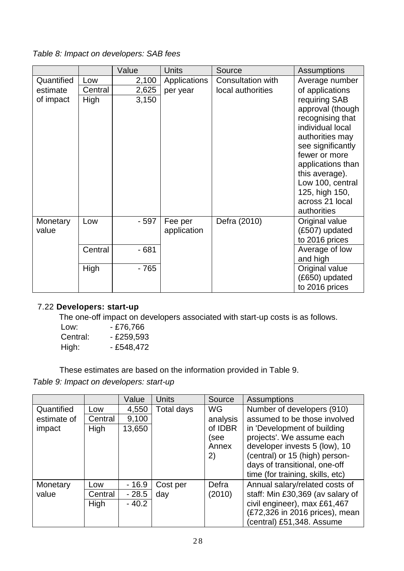*Table 8: Impact on developers: SAB fees*

|            |         | Value  | <b>Units</b> | Source                   | Assumptions                          |
|------------|---------|--------|--------------|--------------------------|--------------------------------------|
| Quantified | Low     | 2,100  | Applications | <b>Consultation with</b> | Average number                       |
| estimate   | Central | 2,625  | per year     | local authorities        | of applications                      |
| of impact  | High    | 3,150  |              |                          | requiring SAB                        |
|            |         |        |              |                          | approval (though                     |
|            |         |        |              |                          | recognising that                     |
|            |         |        |              |                          | individual local                     |
|            |         |        |              |                          | authorities may<br>see significantly |
|            |         |        |              |                          | fewer or more                        |
|            |         |        |              |                          | applications than                    |
|            |         |        |              |                          | this average).                       |
|            |         |        |              |                          | Low 100, central                     |
|            |         |        |              |                          | 125, high 150,                       |
|            |         |        |              |                          | across 21 local                      |
|            |         |        |              |                          | authorities                          |
| Monetary   | Low     | - 597  | Fee per      | Defra (2010)             | Original value                       |
| value      |         |        | application  |                          | (£507) updated                       |
|            |         |        |              |                          | to 2016 prices                       |
|            | Central | $-681$ |              |                          | Average of low                       |
|            |         |        |              |                          | and high                             |
|            | High    | - 765  |              |                          | Original value                       |
|            |         |        |              |                          | (£650) updated                       |
|            |         |        |              |                          | to 2016 prices                       |

# 7.22 **Developers: start-up**

The one-off impact on developers associated with start-up costs is as follows.

| Low:     | - £76,766    |
|----------|--------------|
| Central: | $- E259,593$ |
| High:    | - £548,472   |

These estimates are based on the information provided in Table 9.

*Table 9: Impact on developers: start-up*

|             |         | Value   | <b>Units</b> | Source    | <b>Assumptions</b>               |
|-------------|---------|---------|--------------|-----------|----------------------------------|
| Quantified  | Low     | 4,550   | Total days   | <b>WG</b> | Number of developers (910)       |
| estimate of | Central | 9,100   |              | analysis  | assumed to be those involved     |
| impact      | High    | 13,650  |              | of IDBR   | in 'Development of building      |
|             |         |         |              | (see      | projects'. We assume each        |
|             |         |         |              | Annex     | developer invests 5 (low), 10    |
|             |         |         |              | 2)        | (central) or 15 (high) person-   |
|             |         |         |              |           | days of transitional, one-off    |
|             |         |         |              |           | time (for training, skills, etc) |
| Monetary    | Low     | $-16.9$ | Cost per     | Defra     | Annual salary/related costs of   |
| value       | Central | $-28.5$ | day          | (2010)    | staff: Min £30,369 (av salary of |
|             | High    | $-40.2$ |              |           | civil engineer), max £61,467     |
|             |         |         |              |           | (£72,326 in 2016 prices), mean   |
|             |         |         |              |           | (central) £51,348. Assume        |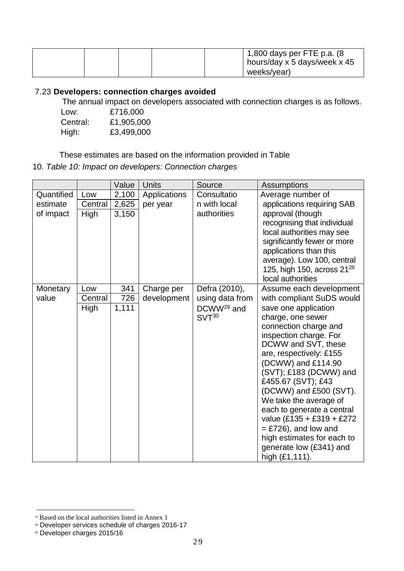|  |  | 1,800 days per FTE p.a. $(8)$<br>hours/day x 5 days/week x 45 |
|--|--|---------------------------------------------------------------|
|  |  | weeks/year)                                                   |

# 7.23 **Developers: connection charges avoided**

The annual impact on developers associated with connection charges is as follows.

| Low:     | £716,000   |
|----------|------------|
| Central: | £1,905,000 |
| High:    | £3,499,000 |

These estimates are based on the information provided in Table

10. *Table 10: Impact on developers: Connection charges*

|            |         | Value | <b>Units</b> | Source                 | <b>Assumptions</b>                                   |
|------------|---------|-------|--------------|------------------------|------------------------------------------------------|
| Quantified | Low     | 2,100 | Applications | Consultatio            | Average number of                                    |
| estimate   | Central | 2,625 | per year     | n with local           | applications requiring SAB                           |
| of impact  | High    | 3,150 |              | authorities            | approval (though                                     |
|            |         |       |              |                        | recognising that individual                          |
|            |         |       |              |                        | local authorities may see                            |
|            |         |       |              |                        | significantly fewer or more                          |
|            |         |       |              |                        | applications than this<br>average). Low 100, central |
|            |         |       |              |                        | 125, high 150, across $21^{28}$                      |
|            |         |       |              |                        | local authorities                                    |
| Monetary   | Low     | 341   | Charge per   | Defra (2010),          | Assume each development                              |
| value      | Central | 726   | development  | using data from        | with compliant SuDS would                            |
|            | High    | 1,111 |              | DCWW <sup>29</sup> and | save one application                                 |
|            |         |       |              | $SVT^{30}$             | charge, one sewer                                    |
|            |         |       |              |                        | connection charge and                                |
|            |         |       |              |                        | inspection charge. For                               |
|            |         |       |              |                        | DCWW and SVT, these                                  |
|            |         |       |              |                        | are, respectively: £155                              |
|            |         |       |              |                        | (DCWW) and £114.90<br>(SVT); £183 (DCWW) and         |
|            |         |       |              |                        | £455.67 (SVT); £43                                   |
|            |         |       |              |                        | (DCWW) and £500 (SVT).                               |
|            |         |       |              |                        | We take the average of                               |
|            |         |       |              |                        | each to generate a central                           |
|            |         |       |              |                        | value (£135 + £319 + £272                            |
|            |         |       |              |                        | $=$ £726), and low and                               |
|            |         |       |              |                        | high estimates for each to                           |
|            |         |       |              |                        | generate low (£341) and                              |
|            |         |       |              |                        | high $(E1, 111)$ .                                   |

<sup>&</sup>lt;sup>28</sup> Based on the local authorities listed in Annex 1

<sup>29</sup> Developer services schedule of charges 2016-17

<sup>30</sup> Developer charges 2015/16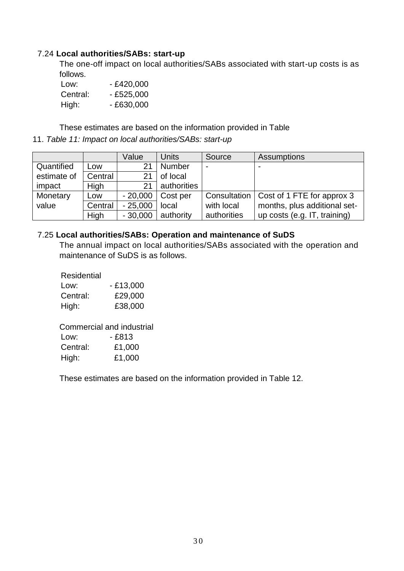#### 7.24 **Local authorities/SABs: start-up**

The one-off impact on local authorities/SABs associated with start-up costs is as follows.

| Low:     | - £420,000 |
|----------|------------|
| Central: | - £525,000 |
| High:    | - £630,000 |

These estimates are based on the information provided in Table

11. *Table 11: Impact on local authorities/SABs: start-up*

|             |         | Value     | <b>Units</b>  | Source       | Assumptions                  |
|-------------|---------|-----------|---------------|--------------|------------------------------|
| Quantified  | Low     | 21        | <b>Number</b> |              |                              |
| estimate of | Central | 21        | of local      |              |                              |
| impact      | High    | 21        | authorities   |              |                              |
| Monetary    | Low     | $-20,000$ | Cost per      | Consultation | Cost of 1 FTE for approx 3   |
| value       | Central | $-25,000$ | local         | with local   | months, plus additional set- |
|             | High    | $-30,000$ | authority     | authorities  | up costs (e.g. IT, training) |

#### 7.25 **Local authorities/SABs: Operation and maintenance of SuDS**

The annual impact on local authorities/SABs associated with the operation and maintenance of SuDS is as follows.

| Residential |            |
|-------------|------------|
| Low:        | $-£13,000$ |
| Central:    | £29,000    |
| High:       | £38,000    |

Commercial and industrial Low: - £813 Central: £1,000

High: £1,000

These estimates are based on the information provided in Table 12.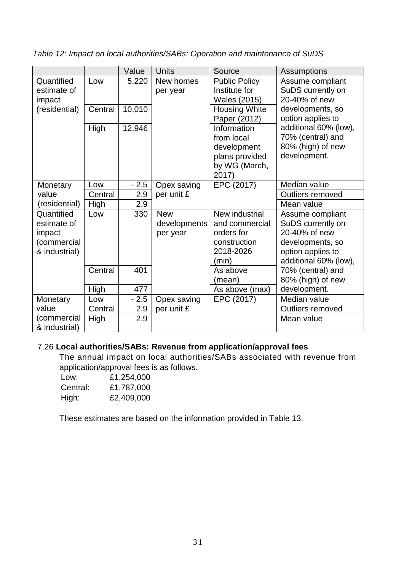*Table 12: Impact on local authorities/SABs: Operation and maintenance of SuDS*

|               |         | Value  | <b>Units</b> | Source               | <b>Assumptions</b>    |
|---------------|---------|--------|--------------|----------------------|-----------------------|
| Quantified    | Low     | 5,220  | New homes    | <b>Public Policy</b> | Assume compliant      |
| estimate of   |         |        | per year     | Institute for        | SuDS currently on     |
| impact        |         |        |              | Wales (2015)         | 20-40% of new         |
| (residential) | Central | 10,010 |              | <b>Housing White</b> | developments, so      |
|               |         |        |              | Paper (2012)         | option applies to     |
|               | High    | 12,946 |              | Information          | additional 60% (low), |
|               |         |        |              | from local           | 70% (central) and     |
|               |         |        |              | development          | 80% (high) of new     |
|               |         |        |              | plans provided       | development.          |
|               |         |        |              | by WG (March,        |                       |
|               |         |        |              | 2017)                |                       |
| Monetary      | Low     | $-2.5$ | Opex saving  | EPC (2017)           | Median value          |
| value         | Central | 2.9    | per unit £   |                      | Outliers removed      |
| (residential) | High    | 2.9    |              |                      | Mean value            |
| Quantified    | Low     | 330    | <b>New</b>   | New industrial       | Assume compliant      |
| estimate of   |         |        | developments | and commercial       | SuDS currently on     |
| impact        |         |        | per year     | orders for           | 20-40% of new         |
| (commercial   |         |        |              | construction         | developments, so      |
| & industrial) |         |        |              | 2018-2026            | option applies to     |
|               |         |        |              | (min)                | additional 60% (low), |
|               | Central | 401    |              | As above             | 70% (central) and     |
|               |         |        |              | (mean)               | 80% (high) of new     |
|               | High    | 477    |              | As above (max)       | development.          |
| Monetary      | Low     | $-2.5$ | Opex saving  | EPC (2017)           | Median value          |
| value         | Central | 2.9    | per unit £   |                      | Outliers removed      |
| (commercial   | High    | 2.9    |              |                      | Mean value            |
| & industrial) |         |        |              |                      |                       |

# 7.26 **Local authorities/SABs: Revenue from application/approval fees**

The annual impact on local authorities/SABs associated with revenue from application/approval fees is as follows.

| Low:     | £1,254,000 |
|----------|------------|
| Central: | £1,787,000 |
| High:    | £2,409,000 |

These estimates are based on the information provided in Table 13.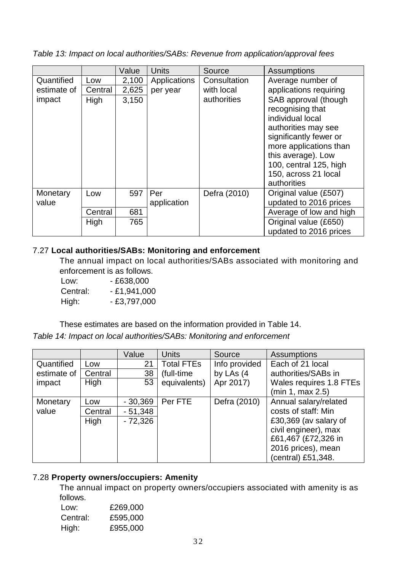*Table 13: Impact on local authorities/SABs: Revenue from application/approval fees*

|             |         | Value | <b>Units</b> | Source       | Assumptions             |
|-------------|---------|-------|--------------|--------------|-------------------------|
| Quantified  | Low     | 2,100 | Applications | Consultation | Average number of       |
| estimate of | Central | 2,625 | per year     | with local   | applications requiring  |
| impact      | High    | 3,150 |              | authorities  | SAB approval (though    |
|             |         |       |              |              | recognising that        |
|             |         |       |              |              | individual local        |
|             |         |       |              |              | authorities may see     |
|             |         |       |              |              | significantly fewer or  |
|             |         |       |              |              | more applications than  |
|             |         |       |              |              | this average). Low      |
|             |         |       |              |              | 100, central 125, high  |
|             |         |       |              |              | 150, across 21 local    |
|             |         |       |              |              | authorities             |
| Monetary    | Low     | 597   | Per          | Defra (2010) | Original value (£507)   |
| value       |         |       | application  |              | updated to 2016 prices  |
|             | Central | 681   |              |              | Average of low and high |
|             | High    | 765   |              |              | Original value (£650)   |
|             |         |       |              |              | updated to 2016 prices  |

# 7.27 **Local authorities/SABs: Monitoring and enforcement**

The annual impact on local authorities/SABs associated with monitoring and enforcement is as follows.

Low: - £638,000 Central: - £1,941,000 High: - £3,797,000

These estimates are based on the information provided in Table 14. *Table 14: Impact on local authorities/SABs: Monitoring and enforcement*

|             |             | Value     | <b>Units</b>      | Source        | <b>Assumptions</b>      |
|-------------|-------------|-----------|-------------------|---------------|-------------------------|
| Quantified  | Low         | 21        | <b>Total FTEs</b> | Info provided | Each of 21 local        |
| estimate of | Central     | 38        | (full-time)       | by LAs (4     | authorities/SABs in     |
| impact      | <b>High</b> | 53        | equivalents)      | Apr 2017)     | Wales requires 1.8 FTEs |
|             |             |           |                   |               | (min 1, max 2.5)        |
| Monetary    | Low         | $-30,369$ | Per FTE           | Defra (2010)  | Annual salary/related   |
| value       | Central     | $-51,348$ |                   |               | costs of staff: Min     |
|             | High        | $-72,326$ |                   |               | £30,369 (av salary of   |
|             |             |           |                   |               | civil engineer), max    |
|             |             |           |                   |               | £61,467 (£72,326 in     |
|             |             |           |                   |               | 2016 prices), mean      |
|             |             |           |                   |               | (central) £51,348.      |

# 7.28 **Property owners/occupiers: Amenity**

The annual impact on property owners/occupiers associated with amenity is as follows.

| £269,000 |
|----------|
| £595,000 |
| £955,000 |
|          |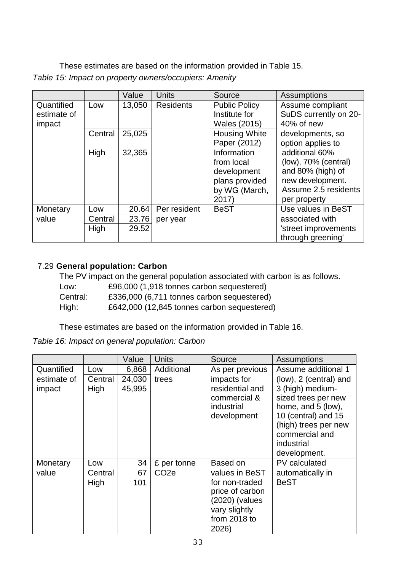These estimates are based on the information provided in Table 15. *Table 15: Impact on property owners/occupiers: Amenity*

|                           |         | Value  | <b>Units</b>     | Source                                | <b>Assumptions</b>                        |
|---------------------------|---------|--------|------------------|---------------------------------------|-------------------------------------------|
| Quantified<br>estimate of | Low     | 13,050 | <b>Residents</b> | <b>Public Policy</b><br>Institute for | Assume compliant<br>SuDS currently on 20- |
| impact                    |         |        |                  | Wales (2015)                          | 40% of new                                |
|                           | Central | 25,025 |                  | <b>Housing White</b>                  | developments, so                          |
|                           |         |        |                  | Paper (2012)                          | option applies to                         |
|                           | High    | 32,365 |                  | Information                           | additional 60%                            |
|                           |         |        |                  | from local                            | $(low)$ , 70% (central)                   |
|                           |         |        |                  | development                           | and 80% (high) of                         |
|                           |         |        |                  | plans provided                        | new development.                          |
|                           |         |        |                  | by WG (March,                         | Assume 2.5 residents                      |
|                           |         |        |                  | 2017)                                 | per property                              |
| Monetary                  | Low     | 20.64  | Per resident     | <b>BeST</b>                           | Use values in BeST                        |
| value                     | Central | 23.76  | per year         |                                       | associated with                           |
|                           | High    | 29.52  |                  |                                       | 'street improvements                      |
|                           |         |        |                  |                                       | through greening'                         |

# 7.29 **General population: Carbon**

|          | The PV impact on the general population associated with carbon is as follows. |
|----------|-------------------------------------------------------------------------------|
| Low:     | £96,000 (1,918 tonnes carbon sequestered)                                     |
| Central: | £336,000 (6,711 tonnes carbon sequestered)                                    |
| High:    | £642,000 (12,845 tonnes carbon sequestered)                                   |

These estimates are based on the information provided in Table 16.

# *Table 16: Impact on general population: Carbon*

|             |         | Value  | <b>Units</b>      | Source                                                                                        | <b>Assumptions</b>                                                                                                                                           |
|-------------|---------|--------|-------------------|-----------------------------------------------------------------------------------------------|--------------------------------------------------------------------------------------------------------------------------------------------------------------|
| Quantified  | Low     | 6,868  | Additional        | As per previous                                                                               | Assume additional 1                                                                                                                                          |
| estimate of | Central | 24,030 | trees             | impacts for                                                                                   | (low), 2 (central) and                                                                                                                                       |
| impact      | High    | 45,995 |                   | residential and<br>commercial &<br>industrial<br>development                                  | 3 (high) medium-<br>sized trees per new<br>home, and 5 (low),<br>10 (central) and 15<br>(high) trees per new<br>commercial and<br>industrial<br>development. |
| Monetary    | Low     | 34     | £ per tonne       | Based on                                                                                      | PV calculated                                                                                                                                                |
| value       | Central | 67     | CO <sub>2</sub> e | values in BeST                                                                                | automatically in                                                                                                                                             |
|             | High    | 101    |                   | for non-traded<br>price of carbon<br>(2020) (values<br>vary slightly<br>from 2018 to<br>2026) | <b>BeST</b>                                                                                                                                                  |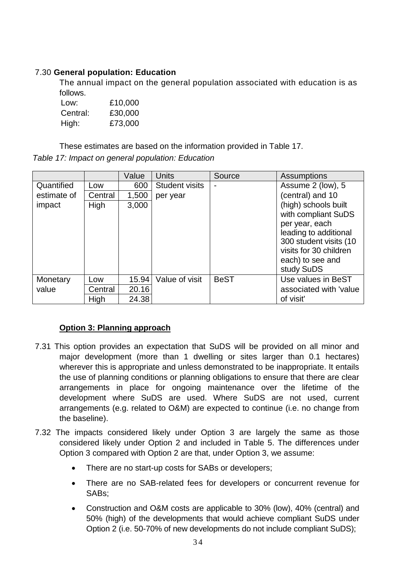# 7.30 **General population: Education**

The annual impact on the general population associated with education is as follows.

| Low:     | £10,000 |
|----------|---------|
| Central: | £30,000 |
| High:    | £73,000 |

These estimates are based on the information provided in Table 17. *Table 17: Impact on general population: Education*

|             |             | Value | <b>Units</b>          | Source      | Assumptions                                                                                                                                                                  |
|-------------|-------------|-------|-----------------------|-------------|------------------------------------------------------------------------------------------------------------------------------------------------------------------------------|
| Quantified  | Low         | 600   | <b>Student visits</b> |             | Assume 2 (low), 5                                                                                                                                                            |
| estimate of | Central     | 1,500 | per year              |             | (central) and 10                                                                                                                                                             |
| impact      | <b>High</b> | 3,000 |                       |             | (high) schools built<br>with compliant SuDS<br>per year, each<br>leading to additional<br>300 student visits (10<br>visits for 30 children<br>each) to see and<br>study SuDS |
| Monetary    | Low         | 15.94 | Value of visit        | <b>BeST</b> | Use values in BeST                                                                                                                                                           |
| value       | Central     | 20.16 |                       |             | associated with 'value                                                                                                                                                       |
|             | High        | 24.38 |                       |             | of visit'                                                                                                                                                                    |

# **Option 3: Planning approach**

- 7.31 This option provides an expectation that SuDS will be provided on all minor and major development (more than 1 dwelling or sites larger than 0.1 hectares) wherever this is appropriate and unless demonstrated to be inappropriate. It entails the use of planning conditions or planning obligations to ensure that there are clear arrangements in place for ongoing maintenance over the lifetime of the development where SuDS are used. Where SuDS are not used, current arrangements (e.g. related to O&M) are expected to continue (i.e. no change from the baseline).
- 7.32 The impacts considered likely under Option 3 are largely the same as those considered likely under Option 2 and included in Table 5. The differences under Option 3 compared with Option 2 are that, under Option 3, we assume:
	- There are no start-up costs for SABs or developers;
	- There are no SAB-related fees for developers or concurrent revenue for SABs;
	- Construction and O&M costs are applicable to 30% (low), 40% (central) and 50% (high) of the developments that would achieve compliant SuDS under Option 2 (i.e. 50-70% of new developments do not include compliant SuDS);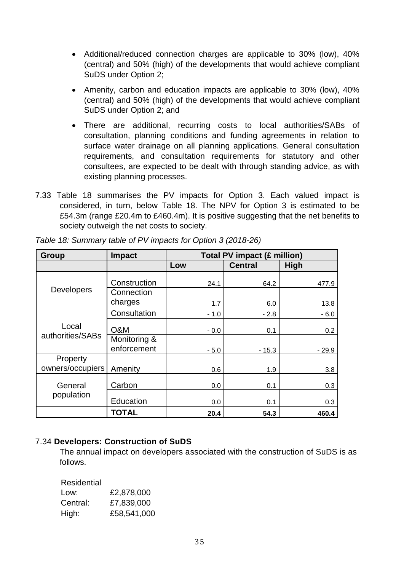- Additional/reduced connection charges are applicable to 30% (low), 40% (central) and 50% (high) of the developments that would achieve compliant SuDS under Option 2;
- Amenity, carbon and education impacts are applicable to 30% (low), 40% (central) and 50% (high) of the developments that would achieve compliant SuDS under Option 2; and
- There are additional, recurring costs to local authorities/SABs of consultation, planning conditions and funding agreements in relation to surface water drainage on all planning applications. General consultation requirements, and consultation requirements for statutory and other consultees, are expected to be dealt with through standing advice, as with existing planning processes.
- 7.33 Table 18 summarises the PV impacts for Option 3. Each valued impact is considered, in turn, below Table 18. The NPV for Option 3 is estimated to be £54.3m (range £20.4m to £460.4m). It is positive suggesting that the net benefits to society outweigh the net costs to society.

| Group                        | <b>Impact</b>               | Total PV impact (£ million) |                |             |  |
|------------------------------|-----------------------------|-----------------------------|----------------|-------------|--|
|                              |                             | Low                         | <b>Central</b> | <b>High</b> |  |
|                              | Construction                | 24.1                        | 64.2           | 477.9       |  |
| <b>Developers</b>            | Connection<br>charges       | 1.7                         | 6.0            | 13.8        |  |
|                              | Consultation                | $-1.0$                      | $-2.8$         | $-6.0$      |  |
| Local                        | O&M                         | $-0.0$                      | 0.1            | 0.2         |  |
| authorities/SABs             | Monitoring &<br>enforcement | $-5.0$                      | $-15.3$        | $-29.9$     |  |
| Property<br>owners/occupiers | Amenity                     | 0.6                         | 1.9            | 3.8         |  |
| General                      | Carbon                      | 0.0                         | 0.1            | 0.3         |  |
| population                   | Education                   | 0.0                         | 0.1            | 0.3         |  |
|                              | <b>TOTAL</b>                | 20.4                        | 54.3           | 460.4       |  |

*Table 18: Summary table of PV impacts for Option 3 (2018-26)*

# 7.34 **Developers: Construction of SuDS**

The annual impact on developers associated with the construction of SuDS is as follows.

Residential

| Low:     | £2,878,000  |
|----------|-------------|
| Central: | £7,839,000  |
| High:    | £58,541,000 |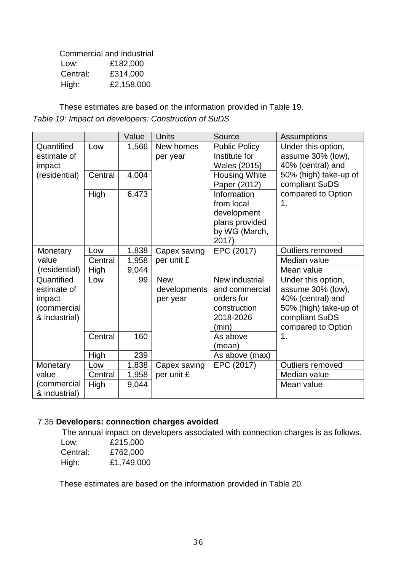|          | Commercial and industrial |
|----------|---------------------------|
| Low:     | £182,000                  |
| Central: | £314,000                  |
| High:    | £2,158,000                |

These estimates are based on the information provided in Table 19. *Table 19: Impact on developers: Construction of SuDS*

|               |         | Value | Units        | Source               | <b>Assumptions</b>    |
|---------------|---------|-------|--------------|----------------------|-----------------------|
| Quantified    | Low     | 1,566 | New homes    | <b>Public Policy</b> | Under this option,    |
| estimate of   |         |       | per year     | Institute for        | assume 30% (low),     |
| impact        |         |       |              | Wales (2015)         | 40% (central) and     |
| (residential) | Central | 4,004 |              | <b>Housing White</b> | 50% (high) take-up of |
|               |         |       |              | Paper (2012)         | compliant SuDS        |
|               | High    | 6,473 |              | Information          | compared to Option    |
|               |         |       |              | from local           | 1.                    |
|               |         |       |              | development          |                       |
|               |         |       |              | plans provided       |                       |
|               |         |       |              | by WG (March,        |                       |
|               |         |       |              | 2017)                |                       |
| Monetary      | Low     | 1,838 | Capex saving | EPC (2017)           | Outliers removed      |
| value         | Central | 1,958 | per unit £   |                      | Median value          |
| (residential) | High    | 9,044 |              |                      | Mean value            |
| Quantified    | Low     | 99    | <b>New</b>   | New industrial       | Under this option,    |
| estimate of   |         |       | developments | and commercial       | assume 30% (low),     |
| impact        |         |       | per year     | orders for           | 40% (central) and     |
| (commercial   |         |       |              | construction         | 50% (high) take-up of |
| & industrial) |         |       |              | 2018-2026            | compliant SuDS        |
|               |         |       |              | (min)                | compared to Option    |
|               | Central | 160   |              | As above             | 1.                    |
|               |         |       |              | (mean)               |                       |
|               | High    | 239   |              | As above (max)       |                       |
| Monetary      | Low     | 1,838 | Capex saving | EPC (2017)           | Outliers removed      |
| value         | Central | 1,958 | per unit £   |                      | Median value          |
| (commercial   | High    | 9,044 |              |                      | Mean value            |
| & industrial) |         |       |              |                      |                       |

# 7.35 **Developers: connection charges avoided**

The annual impact on developers associated with connection charges is as follows.

| Low:     | £215,000   |
|----------|------------|
| Central: | £762,000   |
| High:    | £1,749,000 |

These estimates are based on the information provided in Table 20.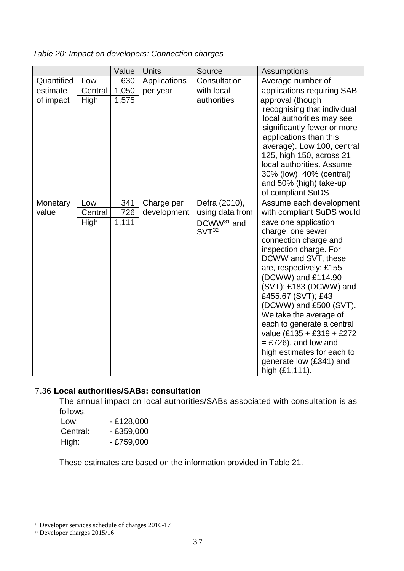*Table 20: Impact on developers: Connection charges*

|            |         | Value | <b>Units</b> | Source                                      | <b>Assumptions</b>                                    |
|------------|---------|-------|--------------|---------------------------------------------|-------------------------------------------------------|
| Quantified | Low     | 630   | Applications | Consultation                                | Average number of                                     |
| estimate   | Central | 1,050 | per year     | with local                                  | applications requiring SAB                            |
| of impact  | High    | 1,575 |              | authorities                                 | approval (though                                      |
|            |         |       |              |                                             | recognising that individual                           |
|            |         |       |              |                                             | local authorities may see                             |
|            |         |       |              |                                             | significantly fewer or more<br>applications than this |
|            |         |       |              |                                             | average). Low 100, central                            |
|            |         |       |              |                                             | 125, high 150, across 21                              |
|            |         |       |              |                                             | local authorities. Assume                             |
|            |         |       |              |                                             | 30% (low), 40% (central)                              |
|            |         |       |              |                                             | and 50% (high) take-up                                |
|            |         |       |              |                                             | of compliant SuDS                                     |
| Monetary   | Low     | 341   | Charge per   | Defra (2010),                               | Assume each development                               |
| value      | Central | 726   | development  | using data from                             | with compliant SuDS would                             |
|            | High    | 1,111 |              | DCWW <sup>31</sup> and<br>SVT <sup>32</sup> | save one application<br>charge, one sewer             |
|            |         |       |              |                                             | connection charge and                                 |
|            |         |       |              |                                             | inspection charge. For                                |
|            |         |       |              |                                             | DCWW and SVT, these                                   |
|            |         |       |              |                                             | are, respectively: £155                               |
|            |         |       |              |                                             | (DCWW) and £114.90                                    |
|            |         |       |              |                                             | (SVT); £183 (DCWW) and                                |
|            |         |       |              |                                             | £455.67 (SVT); £43<br>(DCWW) and £500 (SVT).          |
|            |         |       |              |                                             | We take the average of                                |
|            |         |       |              |                                             | each to generate a central                            |
|            |         |       |              |                                             | value (£135 + £319 + £272                             |
|            |         |       |              |                                             | $=$ £726), and low and                                |
|            |         |       |              |                                             | high estimates for each to                            |
|            |         |       |              |                                             | generate low (£341) and                               |
|            |         |       |              |                                             | high (£1,111).                                        |

# 7.36 **Local authorities/SABs: consultation**

The annual impact on local authorities/SABs associated with consultation is as follows.

Low: - £128,000 Central: - £359,000 High: - £759,000

These estimates are based on the information provided in Table 21.

<sup>&</sup>lt;sup>31</sup> Developer services schedule of charges 2016-17

 $32$  Developer charges  $2015/16$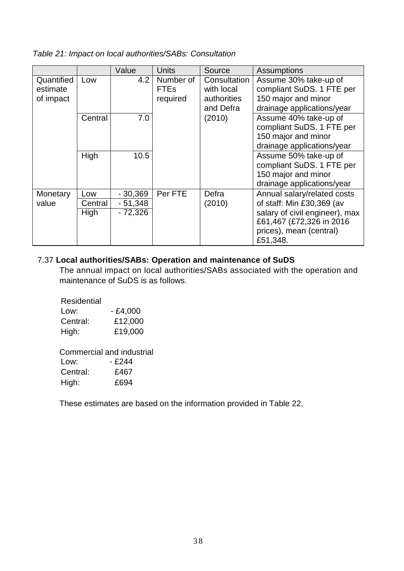*Table 21: Impact on local authorities/SABs: Consultation*

|                                     |         | Value     | Units                                | Source                                                 | Assumptions                                                                                             |
|-------------------------------------|---------|-----------|--------------------------------------|--------------------------------------------------------|---------------------------------------------------------------------------------------------------------|
| Quantified<br>estimate<br>of impact | Low     | 4.2       | Number of<br><b>FTEs</b><br>required | Consultation<br>with local<br>authorities<br>and Defra | Assume 30% take-up of<br>compliant SuDS. 1 FTE per<br>150 major and minor<br>drainage applications/year |
|                                     | Central | 7.0       |                                      | (2010)                                                 | Assume 40% take-up of<br>compliant SuDS. 1 FTE per<br>150 major and minor<br>drainage applications/year |
|                                     | High    | 10.5      |                                      |                                                        | Assume 50% take-up of<br>compliant SuDS. 1 FTE per<br>150 major and minor<br>drainage applications/year |
| Monetary                            | Low     | $-30,369$ | Per FTE                              | Defra                                                  | Annual salary/related costs                                                                             |
| value                               | Central | $-51,348$ |                                      | (2010)                                                 | of staff: Min £30,369 (av                                                                               |
|                                     | High    | $-72,326$ |                                      |                                                        | salary of civil engineer), max<br>£61,467 (£72,326 in 2016<br>prices), mean (central)<br>£51,348.       |

# 7.37 **Local authorities/SABs: Operation and maintenance of SuDS**

The annual impact on local authorities/SABs associated with the operation and maintenance of SuDS is as follows.

| Residential |           |
|-------------|-----------|
| Low:        | $-£4,000$ |
| Central:    | £12,000   |
| High:       | £19,000   |

Commercial and industrial

| Low:     | - £244 |
|----------|--------|
| Central: | £467   |
| High:    | £694   |

These estimates are based on the information provided in Table 22.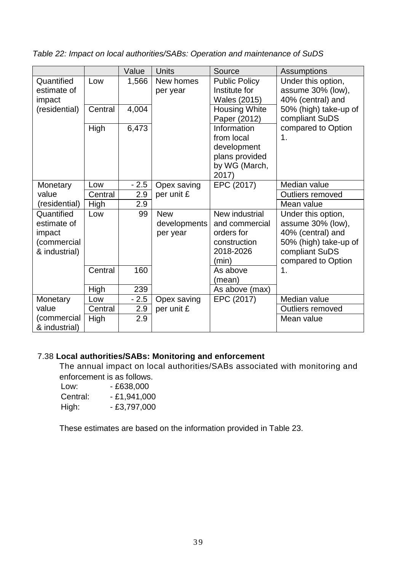*Table 22: Impact on local authorities/SABs: Operation and maintenance of SuDS*

|               |         | Value  | <b>Units</b> | Source               | <b>Assumptions</b>      |
|---------------|---------|--------|--------------|----------------------|-------------------------|
| Quantified    | Low     | 1,566  | New homes    | <b>Public Policy</b> | Under this option,      |
| estimate of   |         |        | per year     | Institute for        | assume 30% (low),       |
| impact        |         |        |              | Wales (2015)         | 40% (central) and       |
| (residential) | Central | 4,004  |              | <b>Housing White</b> | 50% (high) take-up of   |
|               |         |        |              | Paper (2012)         | compliant SuDS          |
|               | High    | 6,473  |              | Information          | compared to Option      |
|               |         |        |              | from local           | $\mathbf 1$ .           |
|               |         |        |              | development          |                         |
|               |         |        |              | plans provided       |                         |
|               |         |        |              | by WG (March,        |                         |
|               |         |        |              | 2017)                |                         |
| Monetary      | Low     | $-2.5$ | Opex saving  | EPC (2017)           | Median value            |
| value         | Central | 2.9    | per unit £   |                      | <b>Outliers removed</b> |
| (residential) | High    | 2.9    |              |                      | Mean value              |
| Quantified    | Low     | 99     | <b>New</b>   | New industrial       | Under this option,      |
| estimate of   |         |        | developments | and commercial       | assume 30% (low),       |
| impact        |         |        | per year     | orders for           | 40% (central) and       |
| (commercial   |         |        |              | construction         | 50% (high) take-up of   |
| & industrial) |         |        |              | 2018-2026            | compliant SuDS          |
|               |         |        |              | (min)                | compared to Option      |
|               | Central | 160    |              | As above             | 1.                      |
|               |         |        |              | (mean)               |                         |
|               | High    | 239    |              | As above (max)       |                         |
| Monetary      | Low     | $-2.5$ | Opex saving  | EPC (2017)           | Median value            |
| value         | Central | 2.9    | per unit £   |                      | Outliers removed        |
| (commercial   | High    | 2.9    |              |                      | Mean value              |
| & industrial) |         |        |              |                      |                         |

# 7.38 **Local authorities/SABs: Monitoring and enforcement**

The annual impact on local authorities/SABs associated with monitoring and enforcement is as follows.

| Low:     | $-£638,000$  |
|----------|--------------|
| Central: | - £1,941,000 |
| High:    | - £3,797,000 |

These estimates are based on the information provided in Table 23.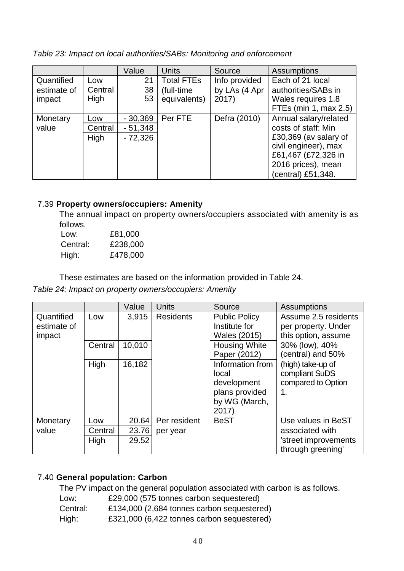*Table 23: Impact on local authorities/SABs: Monitoring and enforcement*

|             |         | Value     | <b>Units</b>      | Source        | <b>Assumptions</b>    |  |  |  |  |  |  |  |  |  |                      |
|-------------|---------|-----------|-------------------|---------------|-----------------------|--|--|--|--|--|--|--|--|--|----------------------|
| Quantified  | Low     | 21        | <b>Total FTEs</b> | Info provided | Each of 21 local      |  |  |  |  |  |  |  |  |  |                      |
| estimate of | Central | 38        | (full-time)       | by LAs (4 Apr | authorities/SABs in   |  |  |  |  |  |  |  |  |  |                      |
| impact      | High    | 53        | equivalents)      | 2017)         | Wales requires 1.8    |  |  |  |  |  |  |  |  |  |                      |
|             |         |           |                   |               | FTEs (min 1, max 2.5) |  |  |  |  |  |  |  |  |  |                      |
| Monetary    | Low     | $-30,369$ | Per FTE           | Defra (2010)  | Annual salary/related |  |  |  |  |  |  |  |  |  |                      |
| value       | Central | $-51,348$ |                   |               | costs of staff: Min   |  |  |  |  |  |  |  |  |  |                      |
|             | High    | $-72,326$ |                   |               | £30,369 (av salary of |  |  |  |  |  |  |  |  |  |                      |
|             |         |           |                   |               |                       |  |  |  |  |  |  |  |  |  | civil engineer), max |
|             |         |           |                   |               | £61,467 (£72,326 in   |  |  |  |  |  |  |  |  |  |                      |
|             |         |           |                   |               | 2016 prices), mean    |  |  |  |  |  |  |  |  |  |                      |
|             |         |           |                   |               | (central) £51,348.    |  |  |  |  |  |  |  |  |  |                      |

# 7.39 **Property owners/occupiers: Amenity**

The annual impact on property owners/occupiers associated with amenity is as follows.

| Low:     | £81,000  |
|----------|----------|
| Central: | £238,000 |
| High:    | £478,000 |

These estimates are based on the information provided in Table 24.

*Table 24: Impact on property owners/occupiers: Amenity*

|                                     |         | Value  | <b>Units</b>         | Source                                                                               | Assumptions                                                        |                                     |  |
|-------------------------------------|---------|--------|----------------------|--------------------------------------------------------------------------------------|--------------------------------------------------------------------|-------------------------------------|--|
| Quantified<br>estimate of<br>impact | Low     | 3,915  | <b>Residents</b>     | <b>Public Policy</b><br>Institute for<br><b>Wales (2015)</b>                         | Assume 2.5 residents<br>per property. Under<br>this option, assume |                                     |  |
|                                     | Central | 10,010 | <b>Housing White</b> |                                                                                      | Paper (2012)                                                       | 30% (low), 40%<br>(central) and 50% |  |
|                                     | High    | 16,182 |                      | Information from<br>local<br>development<br>plans provided<br>by WG (March,<br>2017) | (high) take-up of<br>compliant SuDS<br>compared to Option<br>1.    |                                     |  |
| Monetary                            | Low     | 20.64  | Per resident         | <b>BeST</b>                                                                          | Use values in BeST                                                 |                                     |  |
| value                               | Central | 23.76  | per year             |                                                                                      | associated with                                                    |                                     |  |
|                                     | High    | 29.52  |                      |                                                                                      | 'street improvements<br>through greening'                          |                                     |  |

# 7.40 **General population: Carbon**

The PV impact on the general population associated with carbon is as follows.

- Low: £29,000 (575 tonnes carbon sequestered)
- Central: £134,000 (2,684 tonnes carbon sequestered)
- High: £321,000 (6,422 tonnes carbon sequestered)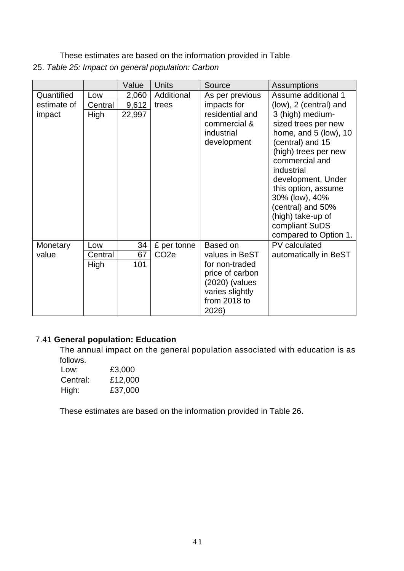These estimates are based on the information provided in Table 25. *Table 25: Impact on general population: Carbon*

|             |         | Value  | <b>Units</b>     | Source                                                                        | <b>Assumptions</b>                                                                                                                                                                                                                                                                               |
|-------------|---------|--------|------------------|-------------------------------------------------------------------------------|--------------------------------------------------------------------------------------------------------------------------------------------------------------------------------------------------------------------------------------------------------------------------------------------------|
| Quantified  | Low     | 2,060  | Additional       | As per previous                                                               | Assume additional 1                                                                                                                                                                                                                                                                              |
| estimate of | Central | 9,612  | trees            | impacts for                                                                   | (low), 2 (central) and                                                                                                                                                                                                                                                                           |
| impact      | High    | 22,997 |                  | residential and<br>commercial &<br>industrial<br>development                  | 3 (high) medium-<br>sized trees per new<br>home, and 5 (low), 10<br>(central) and 15<br>(high) trees per new<br>commercial and<br>industrial<br>development. Under<br>this option, assume<br>30% (low), 40%<br>(central) and 50%<br>(high) take-up of<br>compliant SuDS<br>compared to Option 1. |
| Monetary    | Low     | 34     | £ per tonne      | Based on                                                                      | PV calculated                                                                                                                                                                                                                                                                                    |
| value       | Central | 67     | CO <sub>2e</sub> | values in BeST                                                                | automatically in BeST                                                                                                                                                                                                                                                                            |
|             | High    | 101    |                  | for non-traded                                                                |                                                                                                                                                                                                                                                                                                  |
|             |         |        |                  | price of carbon<br>(2020) (values<br>varies slightly<br>from 2018 to<br>2026) |                                                                                                                                                                                                                                                                                                  |

# 7.41 **General population: Education**

The annual impact on the general population associated with education is as follows.

| Low:     | £3,000  |
|----------|---------|
| Central: | £12,000 |
| High:    | £37,000 |

These estimates are based on the information provided in Table 26.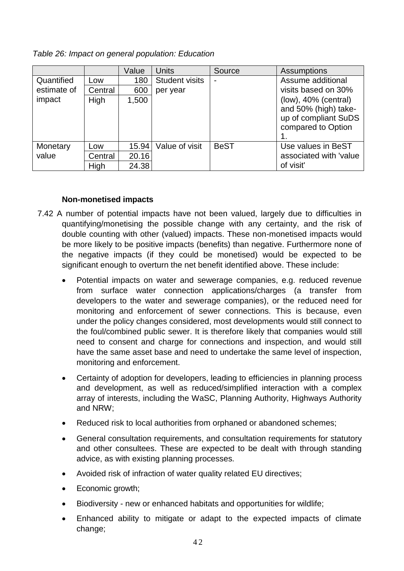*Table 26: Impact on general population: Education*

|             |         | Value | <b>Units</b>          | Source      | <b>Assumptions</b>      |
|-------------|---------|-------|-----------------------|-------------|-------------------------|
| Quantified  | Low     | 180   | <b>Student visits</b> |             | Assume additional       |
| estimate of | Central | 600   | per year              |             | visits based on 30%     |
| impact      | High    | 1,500 |                       |             | $(low)$ , 40% (central) |
|             |         |       |                       |             | and 50% (high) take-    |
|             |         |       |                       |             | up of compliant SuDS    |
|             |         |       |                       |             | compared to Option      |
|             |         |       |                       |             |                         |
| Monetary    | Low     | 15.94 | Value of visit        | <b>BeST</b> | Use values in BeST      |
| value       | Central | 20.16 |                       |             | associated with 'value  |
|             | High    | 24.38 |                       |             | of visit'               |

# **Non-monetised impacts**

- 7.42 A number of potential impacts have not been valued, largely due to difficulties in quantifying/monetising the possible change with any certainty, and the risk of double counting with other (valued) impacts. These non-monetised impacts would be more likely to be positive impacts (benefits) than negative. Furthermore none of the negative impacts (if they could be monetised) would be expected to be significant enough to overturn the net benefit identified above. These include:
	- Potential impacts on water and sewerage companies, e.g. reduced revenue from surface water connection applications/charges (a transfer from developers to the water and sewerage companies), or the reduced need for monitoring and enforcement of sewer connections. This is because, even under the policy changes considered, most developments would still connect to the foul/combined public sewer. It is therefore likely that companies would still need to consent and charge for connections and inspection, and would still have the same asset base and need to undertake the same level of inspection, monitoring and enforcement.
	- Certainty of adoption for developers, leading to efficiencies in planning process and development, as well as reduced/simplified interaction with a complex array of interests, including the WaSC, Planning Authority, Highways Authority and NRW;
	- Reduced risk to local authorities from orphaned or abandoned schemes;
	- General consultation requirements, and consultation requirements for statutory and other consultees. These are expected to be dealt with through standing advice, as with existing planning processes.
	- Avoided risk of infraction of water quality related EU directives;
	- Economic growth:
	- Biodiversity new or enhanced habitats and opportunities for wildlife;
	- Enhanced ability to mitigate or adapt to the expected impacts of climate change;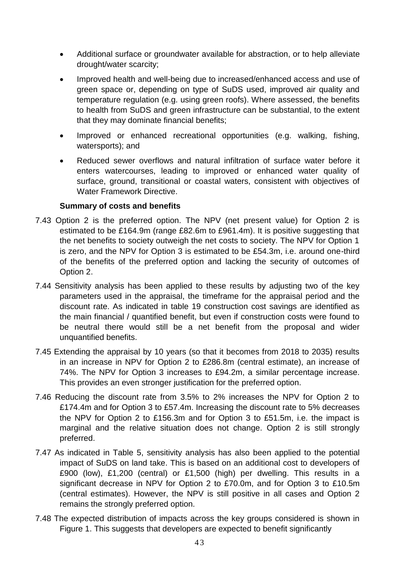- Additional surface or groundwater available for abstraction, or to help alleviate drought/water scarcity;
- Improved health and well-being due to increased/enhanced access and use of green space or, depending on type of SuDS used, improved air quality and temperature regulation (e.g. using green roofs). Where assessed, the benefits to health from SuDS and green infrastructure can be substantial, to the extent that they may dominate financial benefits;
- Improved or enhanced recreational opportunities (e.g. walking, fishing, watersports); and
- Reduced sewer overflows and natural infiltration of surface water before it enters watercourses, leading to improved or enhanced water quality of surface, ground, transitional or coastal waters, consistent with objectives of Water Framework Directive.

#### **Summary of costs and benefits**

- 7.43 Option 2 is the preferred option. The NPV (net present value) for Option 2 is estimated to be £164.9m (range £82.6m to £961.4m). It is positive suggesting that the net benefits to society outweigh the net costs to society. The NPV for Option 1 is zero, and the NPV for Option 3 is estimated to be £54.3m, i.e. around one-third of the benefits of the preferred option and lacking the security of outcomes of Option 2.
- 7.44 Sensitivity analysis has been applied to these results by adjusting two of the key parameters used in the appraisal, the timeframe for the appraisal period and the discount rate. As indicated in table 19 construction cost savings are identified as the main financial / quantified benefit, but even if construction costs were found to be neutral there would still be a net benefit from the proposal and wider unquantified benefits.
- 7.45 Extending the appraisal by 10 years (so that it becomes from 2018 to 2035) results in an increase in NPV for Option 2 to £286.8m (central estimate), an increase of 74%. The NPV for Option 3 increases to £94.2m, a similar percentage increase. This provides an even stronger justification for the preferred option.
- 7.46 Reducing the discount rate from 3.5% to 2% increases the NPV for Option 2 to £174.4m and for Option 3 to £57.4m. Increasing the discount rate to 5% decreases the NPV for Option 2 to £156.3m and for Option 3 to £51.5m, i.e. the impact is marginal and the relative situation does not change. Option 2 is still strongly preferred.
- 7.47 As indicated in Table 5, sensitivity analysis has also been applied to the potential impact of SuDS on land take. This is based on an additional cost to developers of £900 (low), £1,200 (central) or £1,500 (high) per dwelling. This results in a significant decrease in NPV for Option 2 to £70.0m, and for Option 3 to £10.5m (central estimates). However, the NPV is still positive in all cases and Option 2 remains the strongly preferred option.
- 7.48 The expected distribution of impacts across the key groups considered is shown in Figure 1. This suggests that developers are expected to benefit significantly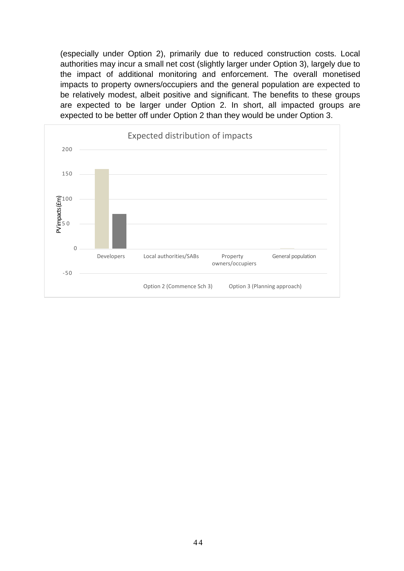(especially under Option 2), primarily due to reduced construction costs. Local authorities may incur a small net cost (slightly larger under Option 3), largely due to the impact of additional monitoring and enforcement. The overall monetised impacts to property owners/occupiers and the general population are expected to be relatively modest, albeit positive and significant. The benefits to these groups are expected to be larger under Option 2. In short, all impacted groups are expected to be better off under Option 2 than they would be under Option 3.

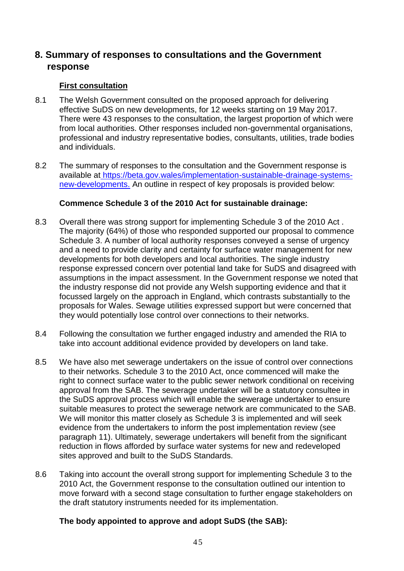# **8. Summary of responses to consultations and the Government response**

#### **First consultation**

- 8.1 The Welsh Government consulted on the proposed approach for delivering effective SuDS on new developments, for 12 weeks starting on 19 May 2017. There were 43 responses to the consultation, the largest proportion of which were from local authorities. Other responses included non-governmental organisations, professional and industry representative bodies, consultants, utilities, trade bodies and individuals.
- 8.2 The summary of responses to the consultation and the Government response is available at [https://beta.gov.wales/implementation-sustainable-drainage-systems](https://beta.gov.wales/implementation-sustainable-drainage-systems-)new-developments. An outline in respect of key proposals is provided below:

#### **Commence Schedule 3 of the 2010 Act for sustainable drainage:**

- 8.3 Overall there was strong support for implementing Schedule 3 of the 2010 Act . The majority (64%) of those who responded supported our proposal to commence Schedule 3. A number of local authority responses conveyed a sense of urgency and a need to provide clarity and certainty for surface water management for new developments for both developers and local authorities. The single industry response expressed concern over potential land take for SuDS and disagreed with assumptions in the impact assessment. In the Government response we noted that the industry response did not provide any Welsh supporting evidence and that it focussed largely on the approach in England, which contrasts substantially to the proposals for Wales. Sewage utilities expressed support but were concerned that they would potentially lose control over connections to their networks.
- 8.4 Following the consultation we further engaged industry and amended the RIA to take into account additional evidence provided by developers on land take.
- 8.5 We have also met sewerage undertakers on the issue of control over connections to their networks. Schedule 3 to the 2010 Act, once commenced will make the right to connect surface water to the public sewer network conditional on receiving approval from the SAB. The sewerage undertaker will be a statutory consultee in the SuDS approval process which will enable the sewerage undertaker to ensure suitable measures to protect the sewerage network are communicated to the SAB. We will monitor this matter closely as Schedule 3 is implemented and will seek evidence from the undertakers to inform the post implementation review (see paragraph 11). Ultimately, sewerage undertakers will benefit from the significant reduction in flows afforded by surface water systems for new and redeveloped sites approved and built to the SuDS Standards.
- 8.6 Taking into account the overall strong support for implementing Schedule 3 to the 2010 Act, the Government response to the consultation outlined our intention to move forward with a second stage consultation to further engage stakeholders on the draft statutory instruments needed for its implementation.

#### **The body appointed to approve and adopt SuDS (the SAB):**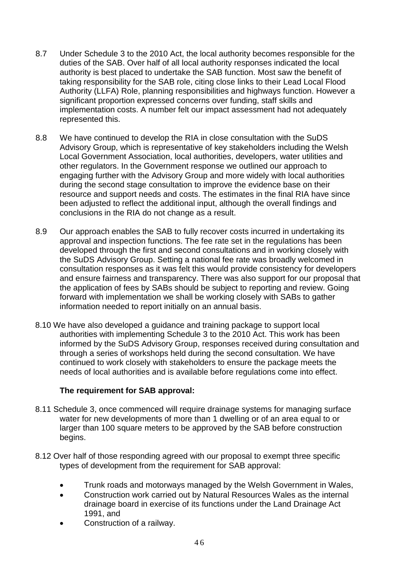- 8.7 Under Schedule 3 to the 2010 Act, the local authority becomes responsible for the duties of the SAB. Over half of all local authority responses indicated the local authority is best placed to undertake the SAB function. Most saw the benefit of taking responsibility for the SAB role, citing close links to their Lead Local Flood Authority (LLFA) Role, planning responsibilities and highways function. However a significant proportion expressed concerns over funding, staff skills and implementation costs. A number felt our impact assessment had not adequately represented this.
- 8.8 We have continued to develop the RIA in close consultation with the SuDS Advisory Group, which is representative of key stakeholders including the Welsh Local Government Association, local authorities, developers, water utilities and other regulators. In the Government response we outlined our approach to engaging further with the Advisory Group and more widely with local authorities during the second stage consultation to improve the evidence base on their resource and support needs and costs. The estimates in the final RIA have since been adjusted to reflect the additional input, although the overall findings and conclusions in the RIA do not change as a result.
- 8.9 Our approach enables the SAB to fully recover costs incurred in undertaking its approval and inspection functions. The fee rate set in the regulations has been developed through the first and second consultations and in working closely with the SuDS Advisory Group. Setting a national fee rate was broadly welcomed in consultation responses as it was felt this would provide consistency for developers and ensure fairness and transparency. There was also support for our proposal that the application of fees by SABs should be subject to reporting and review. Going forward with implementation we shall be working closely with SABs to gather information needed to report initially on an annual basis.
- 8.10 We have also developed a guidance and training package to support local authorities with implementing Schedule 3 to the 2010 Act. This work has been informed by the SuDS Advisory Group, responses received during consultation and through a series of workshops held during the second consultation. We have continued to work closely with stakeholders to ensure the package meets the needs of local authorities and is available before regulations come into effect.

#### **The requirement for SAB approval:**

- 8.11 Schedule 3, once commenced will require drainage systems for managing surface water for new developments of more than 1 dwelling or of an area equal to or larger than 100 square meters to be approved by the SAB before construction begins.
- 8.12 Over half of those responding agreed with our proposal to exempt three specific types of development from the requirement for SAB approval:
	- Trunk roads and motorways managed by the Welsh Government in Wales,
	- Construction work carried out by Natural Resources Wales as the internal drainage board in exercise of its functions under the Land Drainage Act 1991, and
	- Construction of a railway.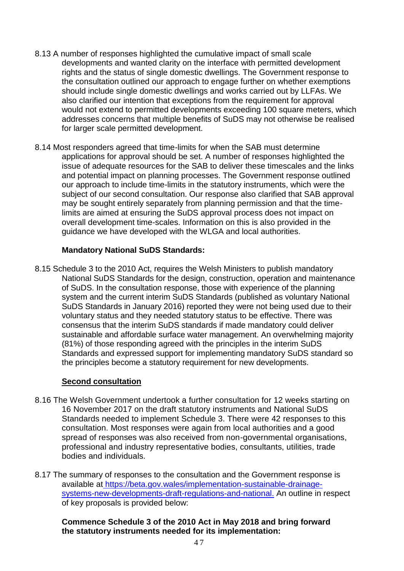- 8.13 A number of responses highlighted the cumulative impact of small scale developments and wanted clarity on the interface with permitted development rights and the status of single domestic dwellings. The Government response to the consultation outlined our approach to engage further on whether exemptions should include single domestic dwellings and works carried out by LLFAs. We also clarified our intention that exceptions from the requirement for approval would not extend to permitted developments exceeding 100 square meters, which addresses concerns that multiple benefits of SuDS may not otherwise be realised for larger scale permitted development.
- 8.14 Most responders agreed that time-limits for when the SAB must determine applications for approval should be set. A number of responses highlighted the issue of adequate resources for the SAB to deliver these timescales and the links and potential impact on planning processes. The Government response outlined our approach to include time-limits in the statutory instruments, which were the subject of our second consultation. Our response also clarified that SAB approval may be sought entirely separately from planning permission and that the timelimits are aimed at ensuring the SuDS approval process does not impact on overall development time-scales. Information on this is also provided in the guidance we have developed with the WLGA and local authorities.

#### **Mandatory National SuDS Standards:**

8.15 Schedule 3 to the 2010 Act, requires the Welsh Ministers to publish mandatory National SuDS Standards for the design, construction, operation and maintenance of SuDS. In the consultation response, those with experience of the planning system and the current interim SuDS Standards (published as voluntary National SuDS Standards in January 2016) reported they were not being used due to their voluntary status and they needed statutory status to be effective. There was consensus that the interim SuDS standards if made mandatory could deliver sustainable and affordable surface water management. An overwhelming majority (81%) of those responding agreed with the principles in the interim SuDS Standards and expressed support for implementing mandatory SuDS standard so the principles become a statutory requirement for new developments.

#### **Second consultation**

- 8.16 The Welsh Government undertook a further consultation for 12 weeks starting on 16 November 2017 on the draft statutory instruments and National SuDS Standards needed to implement Schedule 3. There were 42 responses to this consultation. Most responses were again from local authorities and a good spread of responses was also received from non-governmental organisations, professional and industry representative bodies, consultants, utilities, trade bodies and individuals.
- 8.17 The summary of responses to the consultation and the Government response is available at [https://beta.gov.wales/implementation-sustainable-drainage](https://beta.gov.wales/implementation-sustainable-drainage-systems-new-developments-draft-regulations-and-national)[systems-new-developments-draft-regulations-and-national.](https://beta.gov.wales/implementation-sustainable-drainage-systems-new-developments-draft-regulations-and-national) An outline in respect of key proposals is provided below:

#### **Commence Schedule 3 of the 2010 Act in May 2018 and bring forward the statutory instruments needed for its implementation:**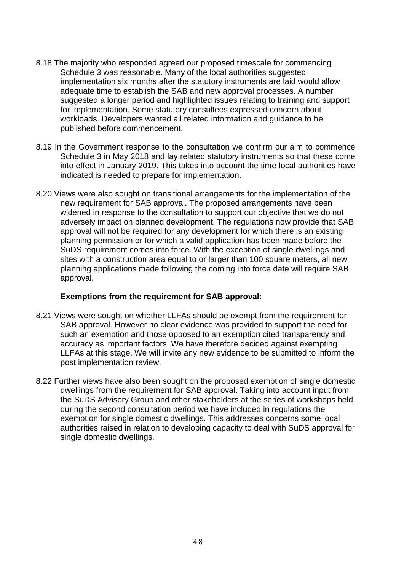- 8.18 The majority who responded agreed our proposed timescale for commencing Schedule 3 was reasonable. Many of the local authorities suggested implementation six months after the statutory instruments are laid would allow adequate time to establish the SAB and new approval processes. A number suggested a longer period and highlighted issues relating to training and support for implementation. Some statutory consultees expressed concern about workloads. Developers wanted all related information and guidance to be published before commencement.
- 8.19 In the Government response to the consultation we confirm our aim to commence Schedule 3 in May 2018 and lay related statutory instruments so that these come into effect in January 2019. This takes into account the time local authorities have indicated is needed to prepare for implementation.
- 8.20 Views were also sought on transitional arrangements for the implementation of the new requirement for SAB approval. The proposed arrangements have been widened in response to the consultation to support our objective that we do not adversely impact on planned development. The regulations now provide that SAB approval will not be required for any development for which there is an existing planning permission or for which a valid application has been made before the SuDS requirement comes into force. With the exception of single dwellings and sites with a construction area equal to or larger than 100 square meters, all new planning applications made following the coming into force date will require SAB approval.

#### **Exemptions from the requirement for SAB approval:**

- 8.21 Views were sought on whether LLFAs should be exempt from the requirement for SAB approval. However no clear evidence was provided to support the need for such an exemption and those opposed to an exemption cited transparency and accuracy as important factors. We have therefore decided against exempting LLFAs at this stage. We will invite any new evidence to be submitted to inform the post implementation review.
- 8.22 Further views have also been sought on the proposed exemption of single domestic dwellings from the requirement for SAB approval. Taking into account input from the SuDS Advisory Group and other stakeholders at the series of workshops held during the second consultation period we have included in regulations the exemption for single domestic dwellings. This addresses concerns some local authorities raised in relation to developing capacity to deal with SuDS approval for single domestic dwellings.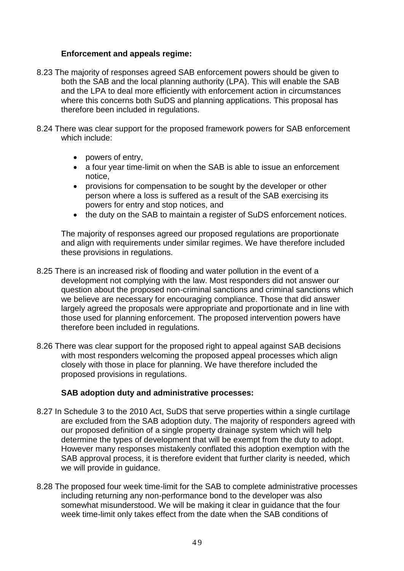#### **Enforcement and appeals regime:**

- 8.23 The majority of responses agreed SAB enforcement powers should be given to both the SAB and the local planning authority (LPA). This will enable the SAB and the LPA to deal more efficiently with enforcement action in circumstances where this concerns both SuDS and planning applications. This proposal has therefore been included in regulations.
- 8.24 There was clear support for the proposed framework powers for SAB enforcement which include:
	- powers of entry,
	- a four year time-limit on when the SAB is able to issue an enforcement notice,
	- provisions for compensation to be sought by the developer or other person where a loss is suffered as a result of the SAB exercising its powers for entry and stop notices, and
	- the duty on the SAB to maintain a register of SuDS enforcement notices.

The majority of responses agreed our proposed regulations are proportionate and align with requirements under similar regimes. We have therefore included these provisions in regulations.

- 8.25 There is an increased risk of flooding and water pollution in the event of a development not complying with the law. Most responders did not answer our question about the proposed non-criminal sanctions and criminal sanctions which we believe are necessary for encouraging compliance. Those that did answer largely agreed the proposals were appropriate and proportionate and in line with those used for planning enforcement. The proposed intervention powers have therefore been included in regulations.
- 8.26 There was clear support for the proposed right to appeal against SAB decisions with most responders welcoming the proposed appeal processes which align closely with those in place for planning. We have therefore included the proposed provisions in regulations.

#### **SAB adoption duty and administrative processes:**

- 8.27 In Schedule 3 to the 2010 Act, SuDS that serve properties within a single curtilage are excluded from the SAB adoption duty. The majority of responders agreed with our proposed definition of a single property drainage system which will help determine the types of development that will be exempt from the duty to adopt. However many responses mistakenly conflated this adoption exemption with the SAB approval process, it is therefore evident that further clarity is needed, which we will provide in guidance.
- 8.28 The proposed four week time-limit for the SAB to complete administrative processes including returning any non-performance bond to the developer was also somewhat misunderstood. We will be making it clear in guidance that the four week time-limit only takes effect from the date when the SAB conditions of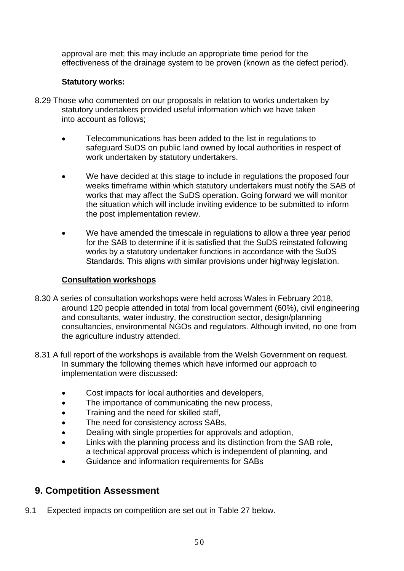approval are met; this may include an appropriate time period for the effectiveness of the drainage system to be proven (known as the defect period).

# **Statutory works:**

- 8.29 Those who commented on our proposals in relation to works undertaken by statutory undertakers provided useful information which we have taken into account as follows;
	- Telecommunications has been added to the list in regulations to safeguard SuDS on public land owned by local authorities in respect of work undertaken by statutory undertakers.
	- We have decided at this stage to include in regulations the proposed four weeks timeframe within which statutory undertakers must notify the SAB of works that may affect the SuDS operation. Going forward we will monitor the situation which will include inviting evidence to be submitted to inform the post implementation review.
	- We have amended the timescale in regulations to allow a three year period for the SAB to determine if it is satisfied that the SuDS reinstated following works by a statutory undertaker functions in accordance with the SuDS Standards. This aligns with similar provisions under highway legislation.

# **Consultation workshops**

- 8.30 A series of consultation workshops were held across Wales in February 2018, around 120 people attended in total from local government (60%), civil engineering and consultants, water industry, the construction sector, design/planning consultancies, environmental NGOs and regulators. Although invited, no one from the agriculture industry attended.
- 8.31 A full report of the workshops is available from the Welsh Government on request. In summary the following themes which have informed our approach to implementation were discussed:
	- Cost impacts for local authorities and developers,
	- The importance of communicating the new process,
	- Training and the need for skilled staff,
	- The need for consistency across SABs.
	- Dealing with single properties for approvals and adoption,
	- Links with the planning process and its distinction from the SAB role, a technical approval process which is independent of planning, and
	- Guidance and information requirements for SABs

# **9. Competition Assessment**

9.1 Expected impacts on competition are set out in Table 27 below.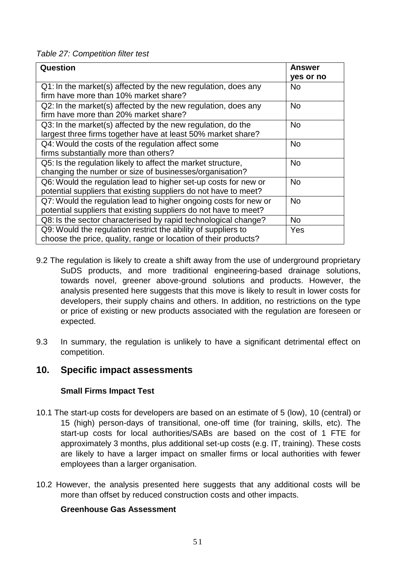*Table 27: Competition filter test*

| Question                                                                                                                             | <b>Answer</b><br>yes or no |
|--------------------------------------------------------------------------------------------------------------------------------------|----------------------------|
| Q1: In the market(s) affected by the new regulation, does any<br>firm have more than 10% market share?                               | <b>No</b>                  |
| Q2: In the market(s) affected by the new regulation, does any<br>firm have more than 20% market share?                               | <b>No</b>                  |
| Q3: In the market(s) affected by the new regulation, do the<br>largest three firms together have at least 50% market share?          | <b>No</b>                  |
| Q4: Would the costs of the regulation affect some<br>firms substantially more than others?                                           | <b>No</b>                  |
| Q5: Is the regulation likely to affect the market structure,<br>changing the number or size of businesses/organisation?              | <b>No</b>                  |
| Q6: Would the regulation lead to higher set-up costs for new or<br>potential suppliers that existing suppliers do not have to meet?  | <b>No</b>                  |
| Q7: Would the regulation lead to higher ongoing costs for new or<br>potential suppliers that existing suppliers do not have to meet? | <b>No</b>                  |
| Q8: Is the sector characterised by rapid technological change?                                                                       | <b>No</b>                  |
| Q9: Would the regulation restrict the ability of suppliers to<br>choose the price, quality, range or location of their products?     | Yes                        |

- 9.2 The regulation is likely to create a shift away from the use of underground proprietary SuDS products, and more traditional engineering-based drainage solutions, towards novel, greener above-ground solutions and products. However, the analysis presented here suggests that this move is likely to result in lower costs for developers, their supply chains and others. In addition, no restrictions on the type or price of existing or new products associated with the regulation are foreseen or expected.
- 9.3 In summary, the regulation is unlikely to have a significant detrimental effect on competition.

# **10. Specific impact assessments**

# **Small Firms Impact Test**

- 10.1 The start-up costs for developers are based on an estimate of 5 (low), 10 (central) or 15 (high) person-days of transitional, one-off time (for training, skills, etc). The start-up costs for local authorities/SABs are based on the cost of 1 FTE for approximately 3 months, plus additional set-up costs (e.g. IT, training). These costs are likely to have a larger impact on smaller firms or local authorities with fewer employees than a larger organisation.
- 10.2 However, the analysis presented here suggests that any additional costs will be more than offset by reduced construction costs and other impacts.

# **Greenhouse Gas Assessment**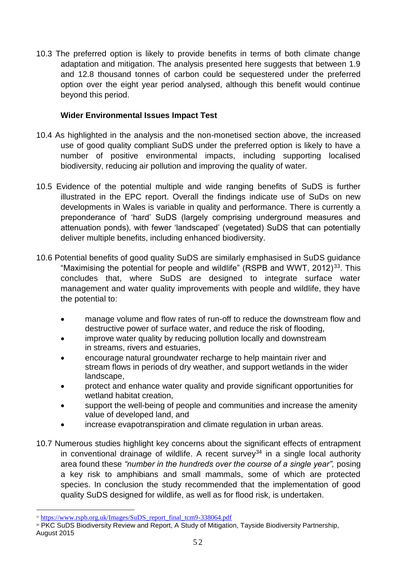10.3 The preferred option is likely to provide benefits in terms of both climate change adaptation and mitigation. The analysis presented here suggests that between 1.9 and 12.8 thousand tonnes of carbon could be sequestered under the preferred option over the eight year period analysed, although this benefit would continue beyond this period.

# **Wider Environmental Issues Impact Test**

- 10.4 As highlighted in the analysis and the non-monetised section above, the increased use of good quality compliant SuDS under the preferred option is likely to have a number of positive environmental impacts, including supporting localised biodiversity, reducing air pollution and improving the quality of water.
- 10.5 Evidence of the potential multiple and wide ranging benefits of SuDS is further illustrated in the EPC report. Overall the findings indicate use of SuDs on new developments in Wales is variable in quality and performance. There is currently a preponderance of 'hard' SuDS (largely comprising underground measures and attenuation ponds), with fewer 'landscaped' (vegetated) SuDS that can potentially deliver multiple benefits, including enhanced biodiversity.
- 10.6 Potential benefits of good quality SuDS are similarly emphasised in SuDS guidance "Maximising the potential for people and wildlife" (RSPB and WWT, 2012)<sup>33</sup>. This concludes that, where SuDS are designed to integrate surface water management and water quality improvements with people and wildlife, they have the potential to:
	- manage volume and flow rates of run-off to reduce the downstream flow and destructive power of surface water, and reduce the risk of flooding,
	- improve water quality by reducing pollution locally and downstream in streams, rivers and estuaries,
	- encourage natural groundwater recharge to help maintain river and stream flows in periods of dry weather, and support wetlands in the wider landscape,
	- protect and enhance water quality and provide significant opportunities for wetland habitat creation,
	- support the well-being of people and communities and increase the amenity value of developed land, and
	- increase evapotranspiration and climate regulation in urban areas.
- 10.7 Numerous studies highlight key concerns about the significant effects of entrapment in conventional drainage of wildlife. A recent survey<sup>34</sup> in a single local authority area found these *"number in the hundreds over the course of a single year",* posing a key risk to amphibians and small mammals, some of which are protected species. In conclusion the study recommended that the implementation of good quality SuDS designed for wildlife, as well as for flood risk, is undertaken.

<sup>&</sup>lt;sup>33</sup> [https://www.rspb.org.uk/Images/SuDS\\_report\\_final\\_tcm9-338064.pdf](https://www.rspb.org.uk/Images/SuDS_report_final_tcm9-338064.pdf)

<sup>&</sup>lt;sup>34</sup> PKC SuDS Biodiversity Review and Report, A Study of Mitigation, Tayside Biodiversity Partnership, August 2015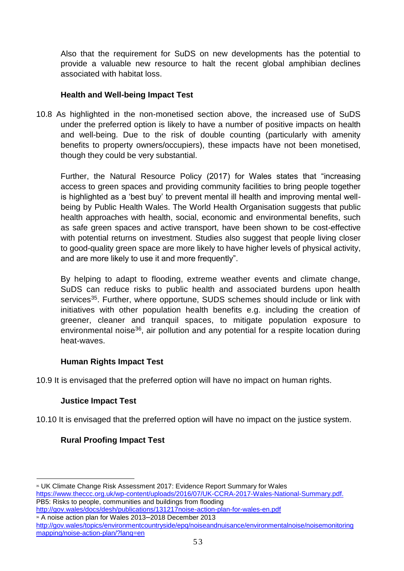Also that the requirement for SuDS on new developments has the potential to provide a valuable new resource to halt the recent global amphibian declines associated with habitat loss.

# **Health and Well-being Impact Test**

10.8 As highlighted in the non-monetised section above, the increased use of SuDS under the preferred option is likely to have a number of positive impacts on health and well-being. Due to the risk of double counting (particularly with amenity benefits to property owners/occupiers), these impacts have not been monetised, though they could be very substantial.

Further, the Natural Resource Policy (2017) for Wales states that "increasing access to green spaces and providing community facilities to bring people together is highlighted as a 'best buy' to prevent mental ill health and improving mental wellbeing by Public Health Wales. The World Health Organisation suggests that public health approaches with health, social, economic and environmental benefits, such as safe green spaces and active transport, have been shown to be cost-effective with potential returns on investment. Studies also suggest that people living closer to good-quality green space are more likely to have higher levels of physical activity, and are more likely to use it and more frequently".

By helping to adapt to flooding, extreme weather events and climate change, SuDS can reduce risks to public health and associated burdens upon health services<sup>35</sup>. Further, where opportune, SUDS schemes should include or link with initiatives with other population health benefits e.g. including the creation of greener, cleaner and tranquil spaces, to mitigate population exposure to environmental noise<sup>36</sup>, air pollution and any potential for a respite location during heat-waves.

# **Human Rights Impact Test**

10.9 It is envisaged that the preferred option will have no impact on human rights.

# **Justice Impact Test**

10.10 It is envisaged that the preferred option will have no impact on the justice system.

# **Rural Proofing Impact Test**

<sup>36</sup> A noise action plan for Wales 2013–2018 December 2013

<sup>&</sup>lt;sup>35</sup> UK Climate Change Risk Assessment 2017: Evidence Report Summary for Wales [https://www.theccc.org.uk/wp-content/uploads/2016/07/UK-CCRA-2017-Wales-National-Summary.pdf.](https://www.theccc.org.uk/wp-content/uploads/2016/07/UK-CCRA-2017-Wales-National-Summary.pdf) PB5: Risks to people, communities and buildings from flooding <http://gov.wales/docs/desh/publications/131217noise-action-plan-for-wales-en.pdf>

<http://gov.wales/topics/environmentcountryside/epq/noiseandnuisance/environmentalnoise/noisemonitoring> mapping/noise-action-plan/?lang=en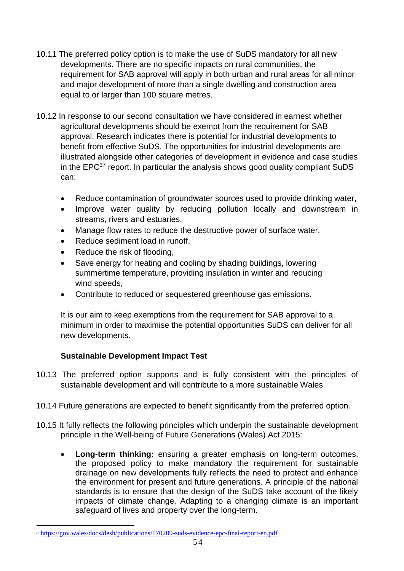- 10.11 The preferred policy option is to make the use of SuDS mandatory for all new developments. There are no specific impacts on rural communities, the requirement for SAB approval will apply in both urban and rural areas for all minor and major development of more than a single dwelling and construction area equal to or larger than 100 square metres.
- 10.12 In response to our second consultation we have considered in earnest whether agricultural developments should be exempt from the requirement for SAB approval. Research indicates there is potential for industrial developments to benefit from effective SuDS. The opportunities for industrial developments are illustrated alongside other categories of development in evidence and case studies in the  $EPC^{37}$  report. In particular the analysis shows good quality compliant SuDS can:
	- Reduce contamination of groundwater sources used to provide drinking water,
	- Improve water quality by reducing pollution locally and downstream in streams, rivers and estuaries,
	- Manage flow rates to reduce the destructive power of surface water.
	- Reduce sediment load in runoff,
	- Reduce the risk of flooding,
	- Save energy for heating and cooling by shading buildings, lowering summertime temperature, providing insulation in winter and reducing wind speeds,
	- Contribute to reduced or sequestered greenhouse gas emissions.

It is our aim to keep exemptions from the requirement for SAB approval to a minimum in order to maximise the potential opportunities SuDS can deliver for all new developments.

# **Sustainable Development Impact Test**

- 10.13 The preferred option supports and is fully consistent with the principles of sustainable development and will contribute to a more sustainable Wales.
- 10.14 Future generations are expected to benefit significantly from the preferred option.
- 10.15 It fully reflects the following principles which underpin the sustainable development principle in the Well-being of Future Generations (Wales) Act 2015:
	- **Long-term thinking:** ensuring a greater emphasis on long-term outcomes, the proposed policy to make mandatory the requirement for sustainable drainage on new developments fully reflects the need to protect and enhance the environment for present and future generations. A principle of the national standards is to ensure that the design of the SuDS take account of the likely impacts of climate change. Adapting to a changing climate is an important safeguard of lives and property over the long-term.

<sup>37</sup> <https://gov.wales/docs/desh/publications/170209-suds-evidence-epc-final-report-en.pdf>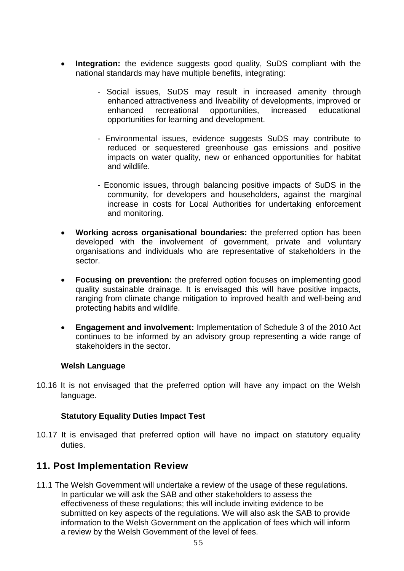- **Integration:** the evidence suggests good quality, SuDS compliant with the national standards may have multiple benefits, integrating:
	- Social issues, SuDS may result in increased amenity through enhanced attractiveness and liveability of developments, improved or enhanced recreational opportunities, increased educational opportunities for learning and development.
	- Environmental issues, evidence suggests SuDS may contribute to reduced or sequestered greenhouse gas emissions and positive impacts on water quality, new or enhanced opportunities for habitat and wildlife.
	- Economic issues, through balancing positive impacts of SuDS in the community, for developers and householders, against the marginal increase in costs for Local Authorities for undertaking enforcement and monitoring.
- **Working across organisational boundaries:** the preferred option has been developed with the involvement of government, private and voluntary organisations and individuals who are representative of stakeholders in the sector.
- **Focusing on prevention:** the preferred option focuses on implementing good quality sustainable drainage. It is envisaged this will have positive impacts, ranging from climate change mitigation to improved health and well-being and protecting habits and wildlife.
- **Engagement and involvement:** Implementation of Schedule 3 of the 2010 Act continues to be informed by an advisory group representing a wide range of stakeholders in the sector.

# **Welsh Language**

10.16 It is not envisaged that the preferred option will have any impact on the Welsh language.

# **Statutory Equality Duties Impact Test**

10.17 It is envisaged that preferred option will have no impact on statutory equality duties.

# **11. Post Implementation Review**

11.1 The Welsh Government will undertake a review of the usage of these regulations. In particular we will ask the SAB and other stakeholders to assess the effectiveness of these regulations; this will include inviting evidence to be submitted on key aspects of the regulations. We will also ask the SAB to provide information to the Welsh Government on the application of fees which will inform a review by the Welsh Government of the level of fees.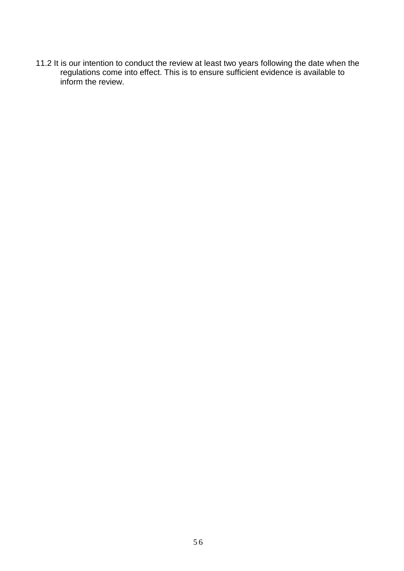11.2 It is our intention to conduct the review at least two years following the date when the regulations come into effect. This is to ensure sufficient evidence is available to inform the review.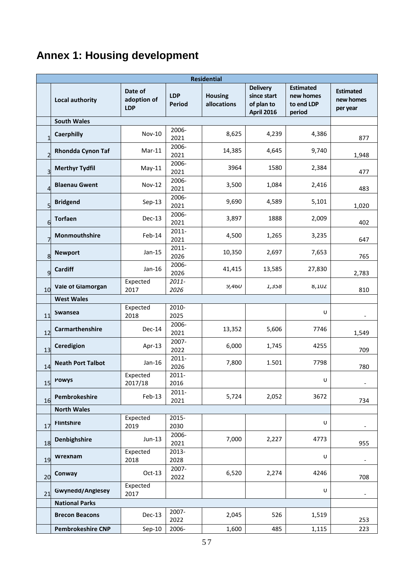# **Annex 1: Housing development**

|                | <b>Residential</b>       |                                      |                      |                               |                                                            |                                                       |                                           |  |  |  |  |
|----------------|--------------------------|--------------------------------------|----------------------|-------------------------------|------------------------------------------------------------|-------------------------------------------------------|-------------------------------------------|--|--|--|--|
|                | <b>Local authority</b>   | Date of<br>adoption of<br><b>LDP</b> | <b>LDP</b><br>Period | <b>Housing</b><br>allocations | <b>Delivery</b><br>since start<br>of plan to<br>April 2016 | <b>Estimated</b><br>new homes<br>to end LDP<br>period | <b>Estimated</b><br>new homes<br>per year |  |  |  |  |
|                | <b>South Wales</b>       |                                      |                      |                               |                                                            |                                                       |                                           |  |  |  |  |
| $\mathbf{1}$   | <b>Caerphilly</b>        | <b>Nov-10</b>                        | 2006-<br>2021        | 8,625                         | 4,239                                                      | 4,386                                                 | 877                                       |  |  |  |  |
| $\overline{2}$ | <b>Rhondda Cynon Taf</b> | $Mar-11$                             | 2006-<br>2021        | 14,385                        | 4,645                                                      | 9,740                                                 | 1,948                                     |  |  |  |  |
| 3              | <b>Merthyr Tydfil</b>    | $May-11$                             | 2006-<br>2021        | 3964                          | 1580                                                       | 2,384                                                 | 477                                       |  |  |  |  |
| 4              | <b>Blaenau Gwent</b>     | <b>Nov-12</b>                        | 2006-<br>2021        | 3,500                         | 1,084                                                      | 2,416                                                 | 483                                       |  |  |  |  |
| 5              | <b>Bridgend</b>          | $Sep-13$                             | 2006-<br>2021        | 9,690                         | 4,589                                                      | 5,101                                                 | 1,020                                     |  |  |  |  |
| 6              | <b>Torfaen</b>           | Dec-13                               | 2006-<br>2021        | 3,897                         | 1888                                                       | 2,009                                                 | 402                                       |  |  |  |  |
| 7              | Monmouthshire            | Feb-14                               | 2011-<br>2021        | 4,500                         | 1,265                                                      | 3,235                                                 | 647                                       |  |  |  |  |
| 8              | <b>Newport</b>           | $Jan-15$                             | 2011-<br>2026        | 10,350                        | 2,697                                                      | 7,653                                                 | 765                                       |  |  |  |  |
| 9              | Cardiff                  | Jan-16                               | 2006-<br>2026        | 41,415                        | 13,585                                                     | 27,830                                                | 2,783                                     |  |  |  |  |
| 10             | <b>Vale of Glamorgan</b> | Expected<br>2017                     | 2011-<br>2026        | 9,460                         | 1,358                                                      | 8,102                                                 | 810                                       |  |  |  |  |
|                | <b>West Wales</b>        |                                      |                      |                               |                                                            |                                                       |                                           |  |  |  |  |
| 11             | Swansea                  | Expected<br>2018                     | 2010-<br>2025        |                               |                                                            | U                                                     |                                           |  |  |  |  |
| 12             | Carmarthenshire          | Dec-14                               | 2006-<br>2021        | 13,352                        | 5,606                                                      | 7746                                                  | 1,549                                     |  |  |  |  |
| 13             | Ceredigion               | Apr-13                               | 2007-<br>2022        | 6,000                         | 1,745                                                      | 4255                                                  | 709                                       |  |  |  |  |
| 14             | <b>Neath Port Talbot</b> | $Jan-16$                             | 2011-<br>2026        | 7,800                         | 1.501                                                      | 7798                                                  | 780                                       |  |  |  |  |
| 15             | <b>Powys</b>             | Expected<br>2017/18                  | 2011-<br>2016        |                               |                                                            | $\mathsf U$                                           | $\overline{\phantom{0}}$                  |  |  |  |  |
| 16             | Pembrokeshire            | Feb-13                               | 2011-<br>2021        | 5,724                         | 2,052                                                      | 3672                                                  | 734                                       |  |  |  |  |
|                | <b>North Wales</b>       |                                      |                      |                               |                                                            |                                                       |                                           |  |  |  |  |
| 17             | <b>Flintshire</b>        | Expected<br>2019                     | 2015-<br>2030        |                               |                                                            | U                                                     |                                           |  |  |  |  |
| 18             | Denbighshire             | Jun-13                               | 2006-<br>2021        | 7,000                         | 2,227                                                      | 4773                                                  | 955                                       |  |  |  |  |
| 19             | Wrexham                  | Expected<br>2018                     | 2013-<br>2028        |                               |                                                            | U                                                     |                                           |  |  |  |  |
| 20             | Conway                   | Oct-13                               | 2007-<br>2022        | 6,520                         | 2,274                                                      | 4246                                                  | 708                                       |  |  |  |  |
| 21             | <b>Gwynedd/Anglesey</b>  | Expected<br>2017                     |                      |                               |                                                            | $\cup$                                                | $\overline{\phantom{a}}$                  |  |  |  |  |
|                | <b>National Parks</b>    |                                      |                      |                               |                                                            |                                                       |                                           |  |  |  |  |
|                | <b>Brecon Beacons</b>    | Dec-13                               | 2007-<br>2022        | 2,045                         | 526                                                        | 1,519                                                 | 253                                       |  |  |  |  |
|                | <b>Pembrokeshire CNP</b> | $Sep-10$                             | 2006-                | 1,600                         | 485                                                        | 1,115                                                 | 223                                       |  |  |  |  |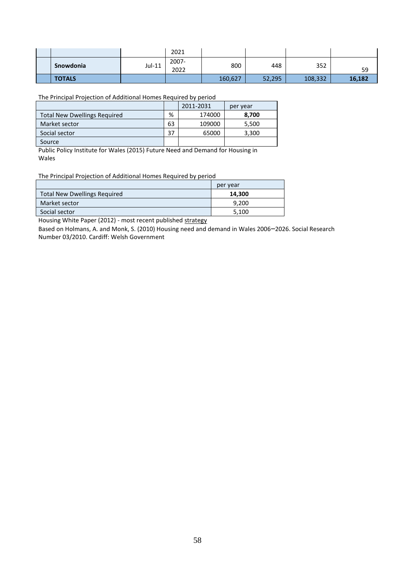|               |        | 2021          |         |        |         |        |
|---------------|--------|---------------|---------|--------|---------|--------|
| Snowdonia     | Jul-11 | 2007-<br>2022 | 800     | 448    | 352     | 59     |
| <b>TOTALS</b> |        |               | 160,627 | 52,295 | 108,332 | 16,182 |

The Principal Projection of Additional Homes Required by period

|                                     |    | 2011-2031 | per year |
|-------------------------------------|----|-----------|----------|
| <b>Total New Dwellings Required</b> | %  | 174000    | 8,700    |
| Market sector                       | 63 | 109000    | 5,500    |
| Social sector                       | 37 | 65000     | 3,300    |
| Source                              |    |           |          |

Public Policy Institute for Wales (2015) Future Need and Demand for Housing in Wales

The Principal Projection of Additional Homes Required by period

|                                     | per year |
|-------------------------------------|----------|
| <b>Total New Dwellings Required</b> | 14.300   |
| Market sector                       | 9.200    |
| Social sector                       | 5,100    |

Housing White Paper (2012) - most recent published strategy

Based on Holmans, A. and Monk, S. (2010) Housing need and demand in Wales 2006–2026. Social Research Number 03/2010. Cardiff: Welsh Government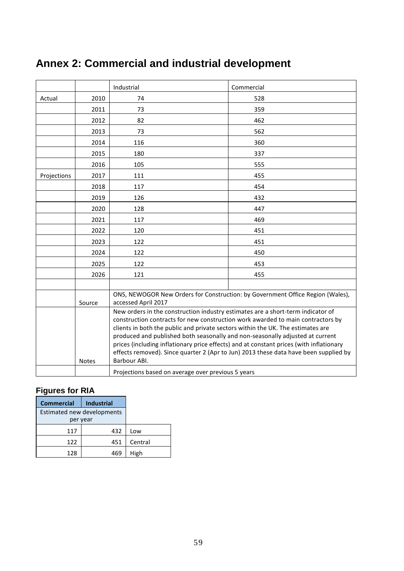# **Annex 2: Commercial and industrial development**

|             |        | Industrial                                                                                                                                                                                                                                                                                                                                                                                                                                                                                                                                | Commercial |  |
|-------------|--------|-------------------------------------------------------------------------------------------------------------------------------------------------------------------------------------------------------------------------------------------------------------------------------------------------------------------------------------------------------------------------------------------------------------------------------------------------------------------------------------------------------------------------------------------|------------|--|
| Actual      | 2010   | 74                                                                                                                                                                                                                                                                                                                                                                                                                                                                                                                                        | 528        |  |
|             | 2011   | 73                                                                                                                                                                                                                                                                                                                                                                                                                                                                                                                                        | 359        |  |
|             | 2012   | 82                                                                                                                                                                                                                                                                                                                                                                                                                                                                                                                                        | 462        |  |
|             | 2013   | 73                                                                                                                                                                                                                                                                                                                                                                                                                                                                                                                                        | 562        |  |
|             | 2014   | 116                                                                                                                                                                                                                                                                                                                                                                                                                                                                                                                                       | 360        |  |
|             | 2015   | 180                                                                                                                                                                                                                                                                                                                                                                                                                                                                                                                                       | 337        |  |
|             | 2016   | 105                                                                                                                                                                                                                                                                                                                                                                                                                                                                                                                                       | 555        |  |
| Projections | 2017   | 111                                                                                                                                                                                                                                                                                                                                                                                                                                                                                                                                       | 455        |  |
|             | 2018   | 117                                                                                                                                                                                                                                                                                                                                                                                                                                                                                                                                       | 454        |  |
|             | 2019   | 126                                                                                                                                                                                                                                                                                                                                                                                                                                                                                                                                       | 432        |  |
|             | 2020   | 128                                                                                                                                                                                                                                                                                                                                                                                                                                                                                                                                       | 447        |  |
|             | 2021   | 117                                                                                                                                                                                                                                                                                                                                                                                                                                                                                                                                       | 469        |  |
|             | 2022   | 120                                                                                                                                                                                                                                                                                                                                                                                                                                                                                                                                       | 451        |  |
|             | 2023   | 122                                                                                                                                                                                                                                                                                                                                                                                                                                                                                                                                       | 451        |  |
|             | 2024   | 122                                                                                                                                                                                                                                                                                                                                                                                                                                                                                                                                       | 450        |  |
|             | 2025   | 122                                                                                                                                                                                                                                                                                                                                                                                                                                                                                                                                       | 453        |  |
|             | 2026   | 121                                                                                                                                                                                                                                                                                                                                                                                                                                                                                                                                       | 455        |  |
|             |        |                                                                                                                                                                                                                                                                                                                                                                                                                                                                                                                                           |            |  |
|             | Source | ONS, NEWOGOR New Orders for Construction: by Government Office Region (Wales),<br>accessed April 2017                                                                                                                                                                                                                                                                                                                                                                                                                                     |            |  |
|             | Notes  | New orders in the construction industry estimates are a short-term indicator of<br>construction contracts for new construction work awarded to main contractors by<br>clients in both the public and private sectors within the UK. The estimates are<br>produced and published both seasonally and non-seasonally adjusted at current<br>prices (including inflationary price effects) and at constant prices (with inflationary<br>effects removed). Since quarter 2 (Apr to Jun) 2013 these data have been supplied by<br>Barbour ABI. |            |  |
|             |        | Projections based on average over previous 5 years                                                                                                                                                                                                                                                                                                                                                                                                                                                                                        |            |  |

# **Figures for RIA**

| <b>Commercial</b>          | <b>Industrial</b> |         |
|----------------------------|-------------------|---------|
| Estimated new developments |                   |         |
| per year                   |                   |         |
| 117                        | 432               | Low     |
| 122                        | 451               | Central |
| 128                        | 469               | High    |